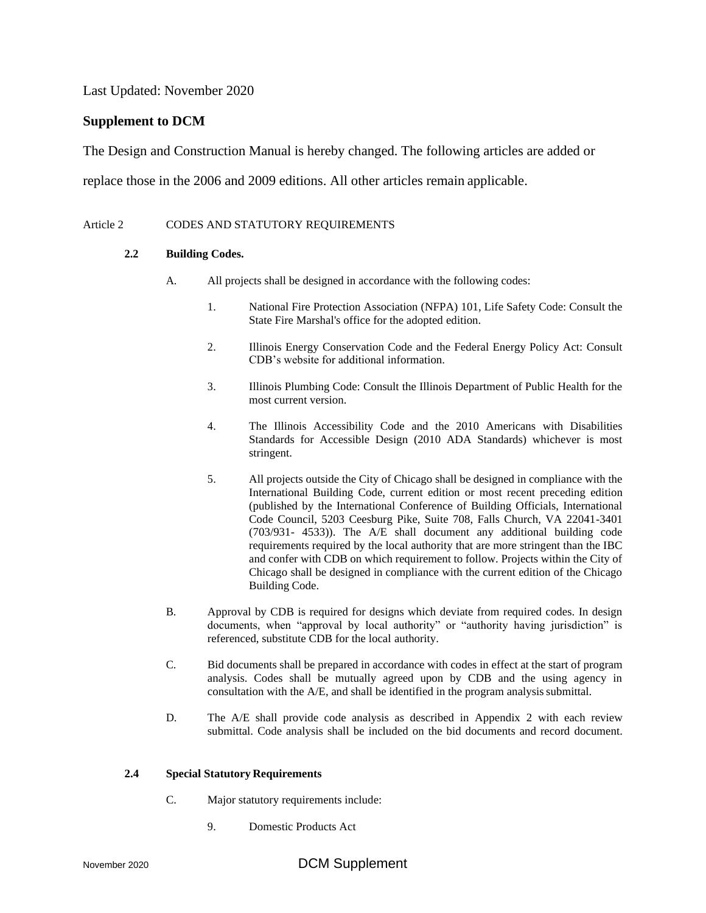Last Updated: November 2020

## **Supplement to DCM**

The Design and Construction Manual is hereby changed. The following articles are added or

replace those in the 2006 and 2009 editions. All other articles remain applicable.

#### Article 2 CODES AND STATUTORY REQUIREMENTS

#### **2.2 Building Codes.**

- A. All projects shall be designed in accordance with the following codes:
	- 1. National Fire Protection Association (NFPA) 101, Life Safety Code: Consult the State Fire Marshal's office for the adopted edition.
	- 2. Illinois Energy Conservation Code and the Federal Energy Policy Act: Consult CDB's website for additional information.
	- 3. Illinois Plumbing Code: Consult the Illinois Department of Public Health for the most current version.
	- 4. The Illinois Accessibility Code and the 2010 Americans with Disabilities Standards for Accessible Design (2010 ADA Standards) whichever is most stringent.
	- 5. All projects outside the City of Chicago shall be designed in compliance with the International Building Code, current edition or most recent preceding edition (published by the International Conference of Building Officials, International Code Council, 5203 Ceesburg Pike, Suite 708, Falls Church, VA 22041-3401 (703/931- 4533)). The A/E shall document any additional building code requirements required by the local authority that are more stringent than the IBC and confer with CDB on which requirement to follow. Projects within the City of Chicago shall be designed in compliance with the current edition of the Chicago Building Code.
- B. Approval by CDB is required for designs which deviate from required codes. In design documents, when "approval by local authority" or "authority having jurisdiction" is referenced, substitute CDB for the local authority.
- C. Bid documents shall be prepared in accordance with codes in effect at the start of program analysis. Codes shall be mutually agreed upon by CDB and the using agency in consultation with the  $A/E$ , and shall be identified in the program analysis submittal.
- D. The A/E shall provide code analysis as described in Appendix 2 with each review submittal. Code analysis shall be included on the bid documents and record document.

#### **2.4 Special Statutory Requirements**

- C. Major statutory requirements include:
	- 9. Domestic Products Act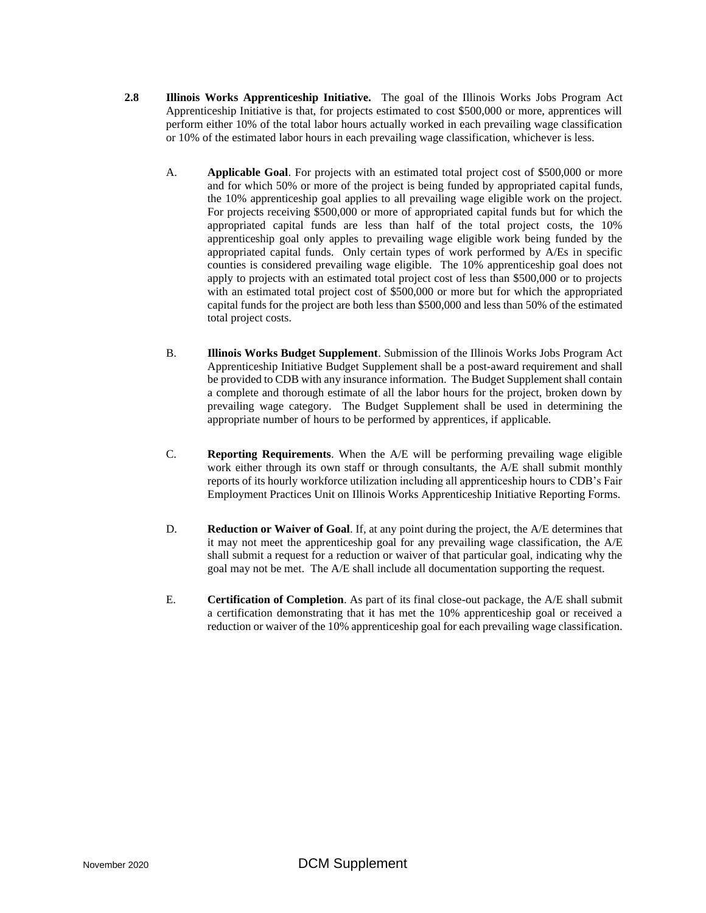- **2.8 Illinois Works Apprenticeship Initiative.** The goal of the Illinois Works Jobs Program Act Apprenticeship Initiative is that, for projects estimated to cost \$500,000 or more, apprentices will perform either 10% of the total labor hours actually worked in each prevailing wage classification or 10% of the estimated labor hours in each prevailing wage classification, whichever is less.
	- A. **Applicable Goal**. For projects with an estimated total project cost of \$500,000 or more and for which 50% or more of the project is being funded by appropriated capital funds, the 10% apprenticeship goal applies to all prevailing wage eligible work on the project. For projects receiving \$500,000 or more of appropriated capital funds but for which the appropriated capital funds are less than half of the total project costs, the 10% apprenticeship goal only apples to prevailing wage eligible work being funded by the appropriated capital funds. Only certain types of work performed by A/Es in specific counties is considered prevailing wage eligible. The 10% apprenticeship goal does not apply to projects with an estimated total project cost of less than \$500,000 or to projects with an estimated total project cost of \$500,000 or more but for which the appropriated capital funds for the project are both less than \$500,000 and less than 50% of the estimated total project costs.
	- B. **Illinois Works Budget Supplement**. Submission of the Illinois Works Jobs Program Act Apprenticeship Initiative Budget Supplement shall be a post-award requirement and shall be provided to CDB with any insurance information. The Budget Supplement shall contain a complete and thorough estimate of all the labor hours for the project, broken down by prevailing wage category. The Budget Supplement shall be used in determining the appropriate number of hours to be performed by apprentices, if applicable.
	- C. **Reporting Requirements**. When the A/E will be performing prevailing wage eligible work either through its own staff or through consultants, the A/E shall submit monthly reports of its hourly workforce utilization including all apprenticeship hours to CDB's Fair Employment Practices Unit on Illinois Works Apprenticeship Initiative Reporting Forms.
	- D. **Reduction or Waiver of Goal**. If, at any point during the project, the A/E determines that it may not meet the apprenticeship goal for any prevailing wage classification, the A/E shall submit a request for a reduction or waiver of that particular goal, indicating why the goal may not be met. The A/E shall include all documentation supporting the request.
	- E. **Certification of Completion**. As part of its final close-out package, the A/E shall submit a certification demonstrating that it has met the 10% apprenticeship goal or received a reduction or waiver of the 10% apprenticeship goal for each prevailing wage classification.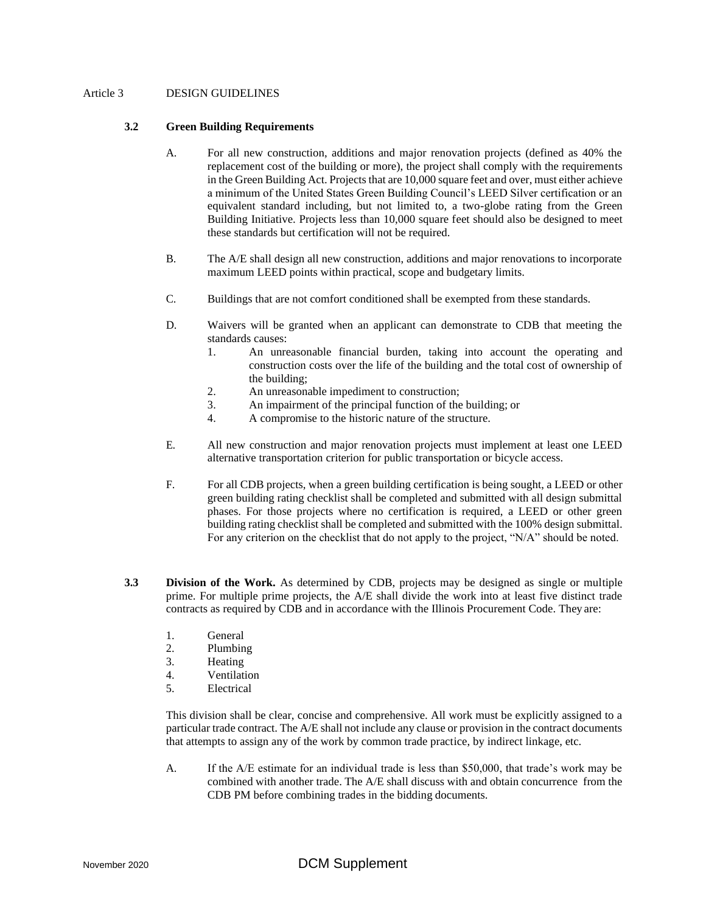#### Article 3 DESIGN GUIDELINES

#### **3.2 Green Building Requirements**

- A. For all new construction, additions and major renovation projects (defined as 40% the replacement cost of the building or more), the project shall comply with the requirements in the Green Building Act. Projects that are 10,000 square feet and over, must either achieve a minimum of the United States Green Building Council's LEED Silver certification or an equivalent standard including, but not limited to, a two-globe rating from the Green Building Initiative. Projects less than 10,000 square feet should also be designed to meet these standards but certification will not be required.
- B. The A/E shall design all new construction, additions and major renovations to incorporate maximum LEED points within practical, scope and budgetary limits.
- C. Buildings that are not comfort conditioned shall be exempted from these standards.
- D. Waivers will be granted when an applicant can demonstrate to CDB that meeting the standards causes:
	- 1. An unreasonable financial burden, taking into account the operating and construction costs over the life of the building and the total cost of ownership of the building;
	- 2. An unreasonable impediment to construction;
	- 3. An impairment of the principal function of the building; or
	- 4. A compromise to the historic nature of the structure.
- E. All new construction and major renovation projects must implement at least one LEED alternative transportation criterion for public transportation or bicycle access.
- F. For all CDB projects, when a green building certification is being sought, a LEED or other green building rating checklist shall be completed and submitted with all design submittal phases. For those projects where no certification is required, a LEED or other green building rating checklist shall be completed and submitted with the 100% design submittal. For any criterion on the checklist that do not apply to the project, "N/A" should be noted.
- **3.3 Division of the Work.** As determined by CDB, projects may be designed as single or multiple prime. For multiple prime projects, the A/E shall divide the work into at least five distinct trade contracts as required by CDB and in accordance with the Illinois Procurement Code. They are:
	- 1. General
	- 2. Plumbing
	- 3. Heating
	- 4. Ventilation
	- 5. Electrical

This division shall be clear, concise and comprehensive. All work must be explicitly assigned to a particular trade contract. The A/E shall not include any clause or provision in the contract documents that attempts to assign any of the work by common trade practice, by indirect linkage, etc.

A. If the A/E estimate for an individual trade is less than \$50,000, that trade's work may be combined with another trade. The A/E shall discuss with and obtain concurrence from the CDB PM before combining trades in the bidding documents.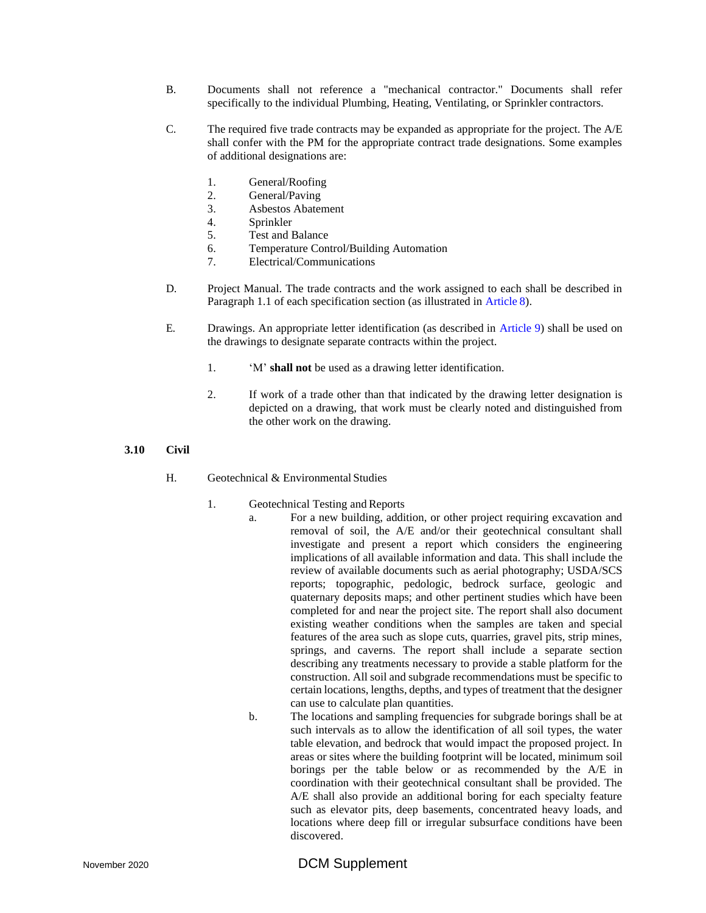- B. Documents shall not reference a "mechanical contractor." Documents shall refer specifically to the individual Plumbing, Heating, Ventilating, or Sprinkler contractors.
- C. The required five trade contracts may be expanded as appropriate for the project. The A/E shall confer with the PM for the appropriate contract trade designations. Some examples of additional designations are:
	- 1. General/Roofing
	- 2. General/Paving
	- 3. Asbestos Abatement
	- 4. Sprinkler
	- 5. Test and Balance
	- 6. Temperature Control/Building Automation
	- 7. Electrical/Communications
- D. Project Manual. The trade contracts and the work assigned to each shall be described in Paragraph 1.1 of each specification section (as illustrated in Article 8).
- E. Drawings. An appropriate letter identification (as described in Article 9) shall be used on the drawings to designate separate contracts within the project.
	- 1. 'M' **shall not** be used as a drawing letter identification.
	- 2. If work of a trade other than that indicated by the drawing letter designation is depicted on a drawing, that work must be clearly noted and distinguished from the other work on the drawing.

#### **3.10 Civil**

- H. Geotechnical & Environmental Studies
	- 1. Geotechnical Testing and Reports
		- a. For a new building, addition, or other project requiring excavation and removal of soil, the A/E and/or their geotechnical consultant shall investigate and present a report which considers the engineering implications of all available information and data. This shall include the review of available documents such as aerial photography; USDA/SCS reports; topographic, pedologic, bedrock surface, geologic and quaternary deposits maps; and other pertinent studies which have been completed for and near the project site. The report shall also document existing weather conditions when the samples are taken and special features of the area such as slope cuts, quarries, gravel pits, strip mines, springs, and caverns. The report shall include a separate section describing any treatments necessary to provide a stable platform for the construction. All soil and subgrade recommendations must be specific to certain locations, lengths, depths, and types of treatment that the designer can use to calculate plan quantities.
		- b. The locations and sampling frequencies for subgrade borings shall be at such intervals as to allow the identification of all soil types, the water table elevation, and bedrock that would impact the proposed project. In areas or sites where the building footprint will be located, minimum soil borings per the table below or as recommended by the A/E in coordination with their geotechnical consultant shall be provided. The A/E shall also provide an additional boring for each specialty feature such as elevator pits, deep basements, concentrated heavy loads, and locations where deep fill or irregular subsurface conditions have been discovered.

# November 2020 **DCM Supplement**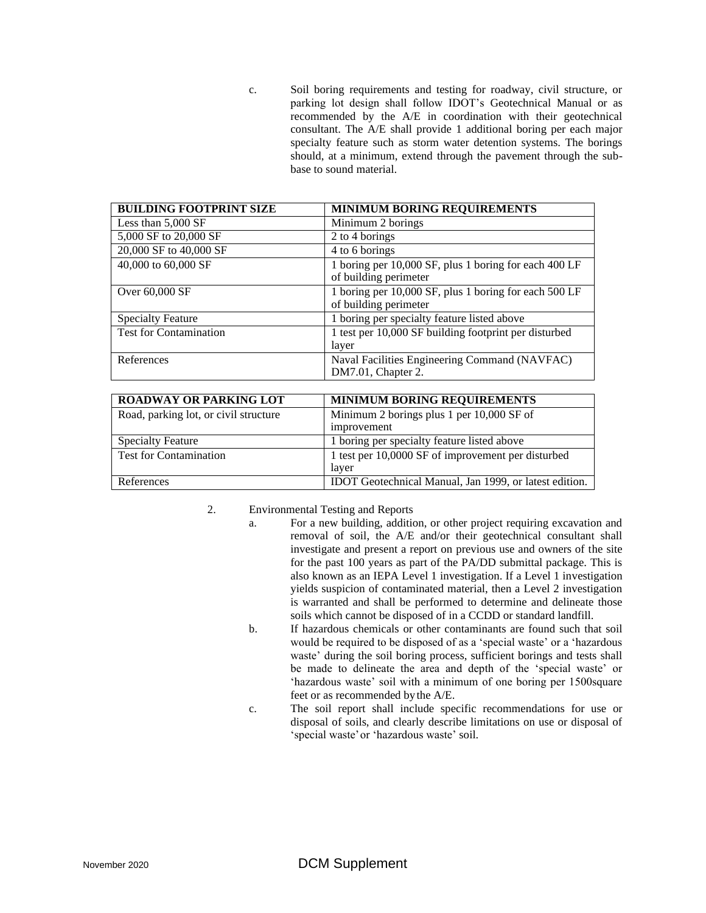c. Soil boring requirements and testing for roadway, civil structure, or parking lot design shall follow IDOT's Geotechnical Manual or as recommended by the A/E in coordination with their geotechnical consultant. The A/E shall provide 1 additional boring per each major specialty feature such as storm water detention systems. The borings should, at a minimum, extend through the pavement through the subbase to sound material.

| <b>BUILDING FOOTPRINT SIZE</b> | <b>MINIMUM BORING REQUIREMENTS</b>                                             |
|--------------------------------|--------------------------------------------------------------------------------|
| Less than 5,000 SF             | Minimum 2 borings                                                              |
| 5,000 SF to 20,000 SF          | 2 to 4 borings                                                                 |
| 20,000 SF to 40,000 SF         | 4 to 6 borings                                                                 |
| 40,000 to 60,000 SF            | 1 boring per 10,000 SF, plus 1 boring for each 400 LF<br>of building perimeter |
| Over 60,000 SF                 | 1 boring per 10,000 SF, plus 1 boring for each 500 LF<br>of building perimeter |
| <b>Specialty Feature</b>       | 1 boring per specialty feature listed above                                    |
| <b>Test for Contamination</b>  | 1 test per 10,000 SF building footprint per disturbed<br>layer                 |
| References                     | Naval Facilities Engineering Command (NAVFAC)<br>DM7.01, Chapter 2.            |

| <b>ROADWAY OR PARKING LOT</b>         | <b>MINIMUM BORING REQUIREMENTS</b>                     |
|---------------------------------------|--------------------------------------------------------|
| Road, parking lot, or civil structure | Minimum 2 borings plus 1 per 10,000 SF of              |
|                                       | improvement                                            |
| <b>Specialty Feature</b>              | 1 boring per specialty feature listed above            |
| <b>Test for Contamination</b>         | 1 test per 10,0000 SF of improvement per disturbed     |
|                                       | layer                                                  |
| References                            | IDOT Geotechnical Manual, Jan 1999, or latest edition. |

- 2. Environmental Testing and Reports
	- a. For a new building, addition, or other project requiring excavation and removal of soil, the A/E and/or their geotechnical consultant shall investigate and present a report on previous use and owners of the site for the past 100 years as part of the PA/DD submittal package. This is also known as an IEPA Level 1 investigation. If a Level 1 investigation yields suspicion of contaminated material, then a Level 2 investigation is warranted and shall be performed to determine and delineate those soils which cannot be disposed of in a CCDD or standard landfill.
	- b. If hazardous chemicals or other contaminants are found such that soil would be required to be disposed of as a 'special waste' or a 'hazardous waste' during the soil boring process, sufficient borings and tests shall be made to delineate the area and depth of the 'special waste' or 'hazardous waste' soil with a minimum of one boring per 1500square feet or as recommended by the A/E.
	- c. The soil report shall include specific recommendations for use or disposal of soils, and clearly describe limitations on use or disposal of 'special waste'or 'hazardous waste' soil.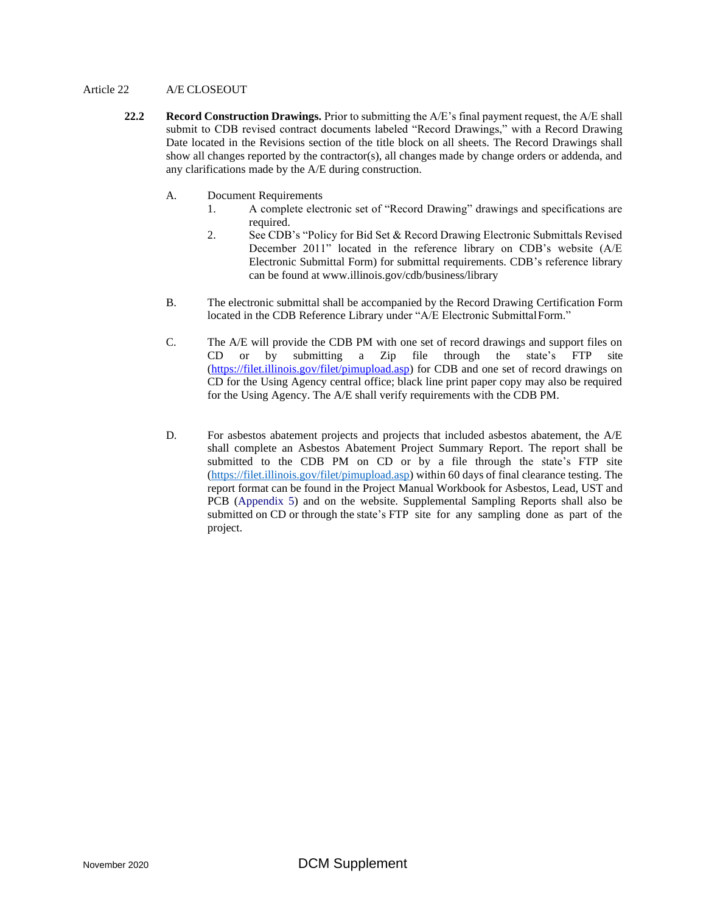#### Article 22 A/E CLOSEOUT

- **22.2 Record Construction Drawings.** Prior to submitting the A/E's final payment request, the A/E shall submit to CDB revised contract documents labeled "Record Drawings," with a Record Drawing Date located in the Revisions section of the title block on all sheets. The Record Drawings shall show all changes reported by the contractor(s), all changes made by change orders or addenda, and any clarifications made by the A/E during construction.
	- A. Document Requirements
		- 1. A complete electronic set of "Record Drawing" drawings and specifications are required.
		- 2. See CDB's "Policy for Bid Set & Record Drawing Electronic Submittals Revised December 2011" located in the reference library on CDB's website (A/E Electronic Submittal Form) for submittal requirements. CDB's reference library can be found at [www.illinois.gov/cdb/business/library](http://www.illinois.gov/cdb/business/library)
	- B. The electronic submittal shall be accompanied by the Record Drawing Certification Form located in the CDB Reference Library under "A/E Electronic SubmittalForm."
	- C. The A/E will provide the CDB PM with one set of record drawings and support files on CD or by submitting a Zip file through the state's FTP site [\(https://filet.illinois.gov/filet/pimupload.asp\)](https://filet.illinois.gov/filet/pimupload.asp) for CDB and one set of record drawings on CD for the Using Agency central office; black line print paper copy may also be required for the Using Agency. The A/E shall verify requirements with the CDB PM.
	- D. For asbestos abatement projects and projects that included asbestos abatement, the A/E shall complete an Asbestos Abatement Project Summary Report. The report shall be submitted to the CDB PM on CD or by a file through the state's FTP site [\(https://filet.illinois.gov/filet/pimupload.asp\)](https://filet.illinois.gov/filet/pimupload.asp) within 60 days of final clearance testing. The report format can be found in the Project Manual Workbook for Asbestos, Lead, UST and PCB (Appendix 5) and on the website. Supplemental Sampling Reports shall also be submitted on CD or through the state's FTP site for any sampling done as part of the project.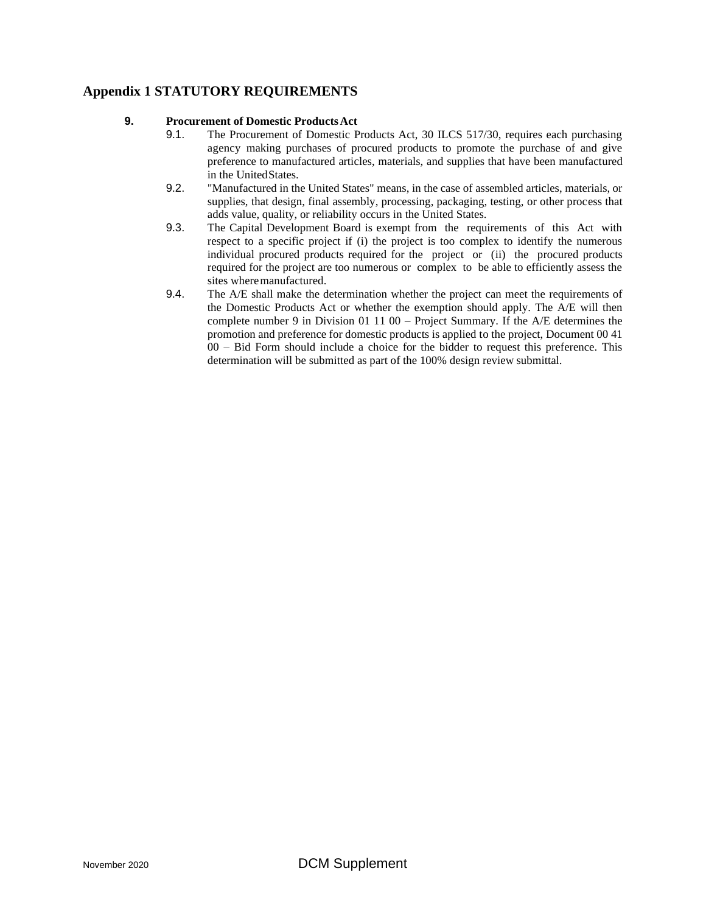## **Appendix 1 STATUTORY REQUIREMENTS**

#### **9. Procurement of Domestic ProductsAct**

- 9.1. The Procurement of Domestic Products Act, 30 ILCS 517/30, requires each purchasing agency making purchases of procured products to promote the purchase of and give preference to manufactured articles, materials, and supplies that have been manufactured in the UnitedStates.
- 9.2. "Manufactured in the United States" means, in the case of assembled articles, materials, or supplies, that design, final assembly, processing, packaging, testing, or other process that adds value, quality, or reliability occurs in the United States.
- 9.3. The Capital Development Board is exempt from the requirements of this Act with respect to a specific project if (i) the project is too complex to identify the numerous individual procured products required for the project or (ii) the procured products required for the project are too numerous or complex to be able to efficiently assess the sites where manufactured.
- 9.4. The A/E shall make the determination whether the project can meet the requirements of the Domestic Products Act or whether the exemption should apply. The A/E will then complete number 9 in Division 01 11 00 – Project Summary. If the A/E determines the promotion and preference for domestic products is applied to the project, Document 00 41 00 – Bid Form should include a choice for the bidder to request this preference. This determination will be submitted as part of the 100% design review submittal.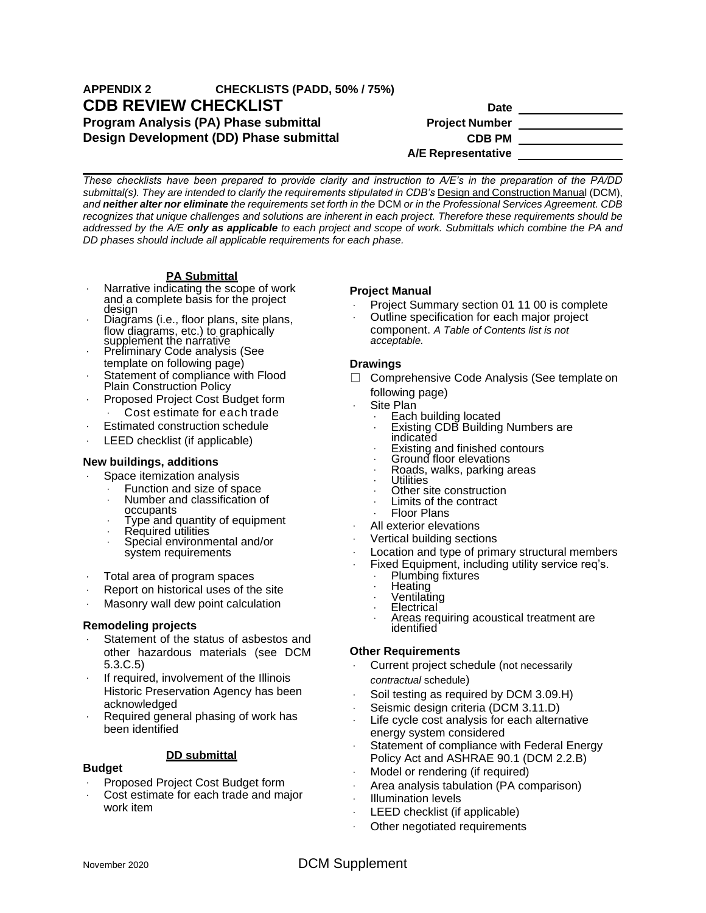# **APPENDIX 2 CHECKLISTS (PADD, 50% / 75%) CDB REVIEW CHECKLIST Date Date Program Analysis (PA) Phase submittal <b>Project Project** Number **Design Development (DD) Phase submittal <b>CDB PM**

**A/E Representative** 

*These checklists have been prepared to provide clarity and instruction to A/E's in the preparation of the PA/DD*  submittal(s). They are intended to clarify the requirements stipulated in CDB's Design and Construction Manual (DCM), *and neither alter nor eliminate the requirements set forth in the* DCM *or in the Professional Services Agreement. CDB recognizes that unique challenges and solutions are inherent in each project. Therefore these requirements should be addressed by the A/E only as applicable to each project and scope of work. Submittals which combine the PA and DD phases should include all applicable requirements for each phase.*

#### **PA Submittal**

- Narrative indicating the scope of work and a complete basis for the project design
- Diagrams (i.e., floor plans, site plans, flow diagrams, etc.) to graphically supplement the narrative
- Preliminary Code analysis (See template on following page)
- Statement of compliance with Flood Plain Construction Policy
- Proposed Project Cost Budget form
- Cost estimate for each trade
- Estimated construction schedule
- LEED checklist (if applicable)

#### **New buildings, additions**

- Space itemization analysis
	- Function and size of space
	- Number and classification of occupants
	- Type and quantity of equipment
	- Required utilities
	- Special environmental and/or system requirements
- Total area of program spaces
- Report on historical uses of the site
- Masonry wall dew point calculation

#### **Remodeling projects**

- Statement of the status of asbestos and other hazardous materials (see DCM 5.3.C.5)
- If required, involvement of the Illinois Historic Preservation Agency has been acknowledged
- Required general phasing of work has been identified

#### **DD submittal**

#### **Budget**

- Proposed Project Cost Budget form
- Cost estimate for each trade and major work item

#### **Project Manual**

- Project Summary section 01 11 00 is complete
- Outline specification for each major project component. *A Table of Contents list is not*
- *acceptable.*

#### **Drawings**

 $\mathcal{L}^{\mathcal{L}}$ 

- □ Comprehensive Code Analysis (See template on following page)
	- Site Plan
	- Each building located
		- Existing CDB Building Numbers are indicated
		- Existing and finished contours
		- Ground floor elevations  $\sim$
		- Roads, walks, parking areas
		- **Utilities**
		- Other site construction  $\mathbf{r}$ Limits of the contract
		- Floor Plans
	- All exterior elevations
- Vertical building sections
- Location and type of primary structural members
- Fixed Equipment, including utility service req's.
	- Plumbing fixtures
	- **Heating**
	- Ventilating
	- Electrical
	- Areas requiring acoustical treatment are identified

#### **Other Requirements**

- Current project schedule (not necessarily *contractual* schedule)
- Soil testing as required by DCM 3.09.H)
- Seismic design criteria (DCM 3.11.D)
- Life cycle cost analysis for each alternative energy system considered
- Statement of compliance with Federal Energy Policy Act and ASHRAE 90.1 (DCM 2.2.B)
- Model or rendering (if required)
- Area analysis tabulation (PA comparison)
- Illumination levels
- LEED checklist (if applicable)
- Other negotiated requirements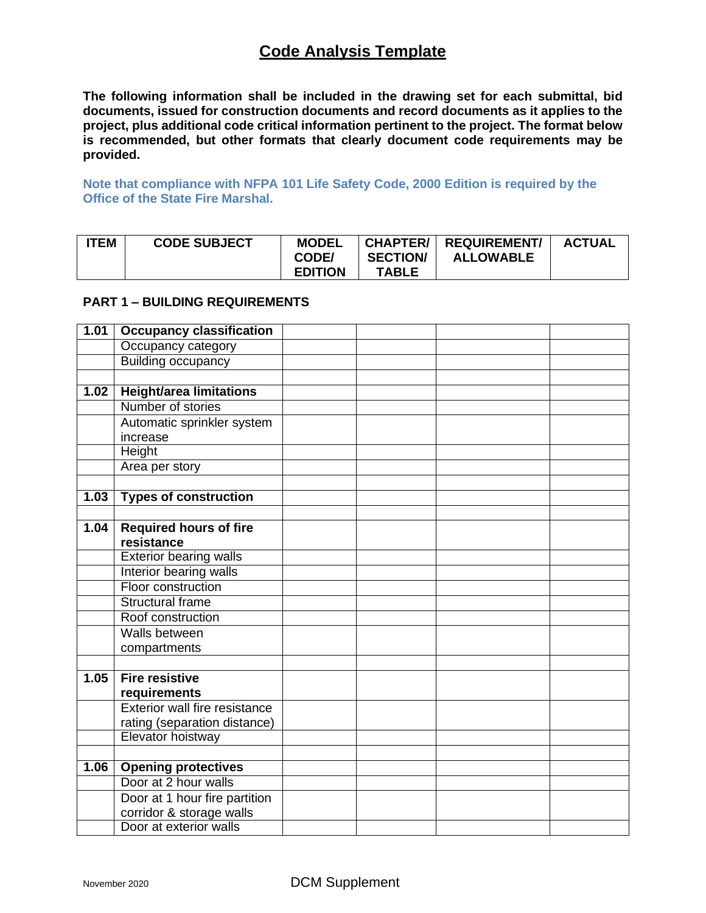# **Code Analysis Template**

**The following information shall be included in the drawing set for each submittal, bid documents, issued for construction documents and record documents as it applies to the project, plus additional code critical information pertinent to the project. The format below is recommended, but other formats that clearly document code requirements may be provided.**

**Note that compliance with NFPA 101 Life Safety Code, 2000 Edition is required by the Office of the State Fire Marshal.**

| <b>ITEM</b><br><b>CODE SUBJECT</b> | <b>MODEL</b><br>CODE/<br><b>EDITION</b> | <b>SECTION/</b><br>TABLE | <b>CHAPTER/   REQUIREMENT/</b><br><b>ALLOWABLE</b> | <b>ACTUAL</b> |
|------------------------------------|-----------------------------------------|--------------------------|----------------------------------------------------|---------------|
|------------------------------------|-----------------------------------------|--------------------------|----------------------------------------------------|---------------|

## **PART 1 – BUILDING REQUIREMENTS**

| 1.01 | <b>Occupancy classification</b> |  |  |
|------|---------------------------------|--|--|
|      | Occupancy category              |  |  |
|      | <b>Building occupancy</b>       |  |  |
|      |                                 |  |  |
| 1.02 | <b>Height/area limitations</b>  |  |  |
|      | Number of stories               |  |  |
|      | Automatic sprinkler system      |  |  |
|      | increase                        |  |  |
|      | Height                          |  |  |
|      | Area per story                  |  |  |
|      |                                 |  |  |
| 1.03 | <b>Types of construction</b>    |  |  |
|      |                                 |  |  |
| 1.04 | <b>Required hours of fire</b>   |  |  |
|      | resistance                      |  |  |
|      | <b>Exterior bearing walls</b>   |  |  |
|      | Interior bearing walls          |  |  |
|      | Floor construction              |  |  |
|      | <b>Structural frame</b>         |  |  |
|      | Roof construction               |  |  |
|      | Walls between                   |  |  |
|      | compartments                    |  |  |
|      |                                 |  |  |
| 1.05 | <b>Fire resistive</b>           |  |  |
|      | requirements                    |  |  |
|      | Exterior wall fire resistance   |  |  |
|      | rating (separation distance)    |  |  |
|      | Elevator hoistway               |  |  |
|      |                                 |  |  |
| 1.06 | <b>Opening protectives</b>      |  |  |
|      | Door at 2 hour walls            |  |  |
|      | Door at 1 hour fire partition   |  |  |
|      | corridor & storage walls        |  |  |
|      | Door at exterior walls          |  |  |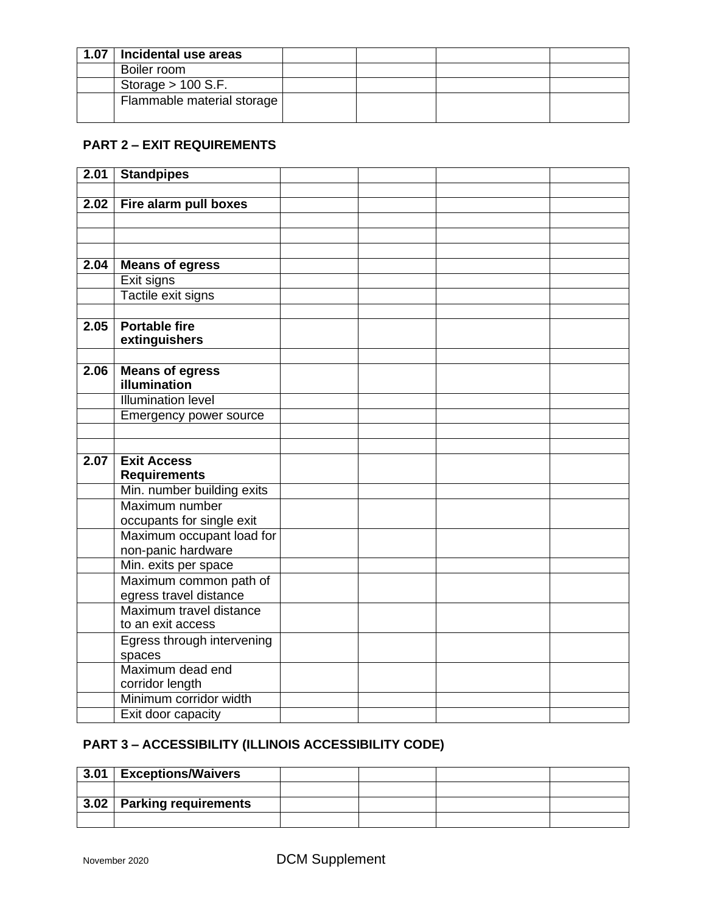| 1.07 | Incidental use areas       |  |  |
|------|----------------------------|--|--|
|      | Boiler room                |  |  |
|      | Storage $> 100$ S.F.       |  |  |
|      | Flammable material storage |  |  |

# **PART 2 – EXIT REQUIREMENTS**

| 2.01 | <b>Standpipes</b>                      |  |  |
|------|----------------------------------------|--|--|
|      |                                        |  |  |
| 2.02 | Fire alarm pull boxes                  |  |  |
|      |                                        |  |  |
|      |                                        |  |  |
|      |                                        |  |  |
| 2.04 | <b>Means of egress</b>                 |  |  |
|      | Exit signs                             |  |  |
|      | Tactile exit signs                     |  |  |
|      |                                        |  |  |
| 2.05 | <b>Portable fire</b>                   |  |  |
|      | extinguishers                          |  |  |
|      |                                        |  |  |
| 2.06 | <b>Means of egress</b><br>illumination |  |  |
|      | <b>Illumination level</b>              |  |  |
|      | Emergency power source                 |  |  |
|      |                                        |  |  |
|      |                                        |  |  |
| 2.07 | <b>Exit Access</b>                     |  |  |
|      | <b>Requirements</b>                    |  |  |
|      | Min. number building exits             |  |  |
|      | Maximum number                         |  |  |
|      | occupants for single exit              |  |  |
|      | Maximum occupant load for              |  |  |
|      | non-panic hardware                     |  |  |
|      | Min. exits per space                   |  |  |
|      | Maximum common path of                 |  |  |
|      | egress travel distance                 |  |  |
|      | Maximum travel distance                |  |  |
|      | to an exit access                      |  |  |
|      | Egress through intervening             |  |  |
|      | spaces                                 |  |  |
|      | Maximum dead end                       |  |  |
|      | corridor length                        |  |  |
|      | Minimum corridor width                 |  |  |
|      | Exit door capacity                     |  |  |

# **PART 3 – ACCESSIBILITY (ILLINOIS ACCESSIBILITY CODE)**

| 3.01 | <b>Exceptions/Waivers</b>   |  |  |
|------|-----------------------------|--|--|
|      |                             |  |  |
|      | $3.02$ Parking requirements |  |  |
|      |                             |  |  |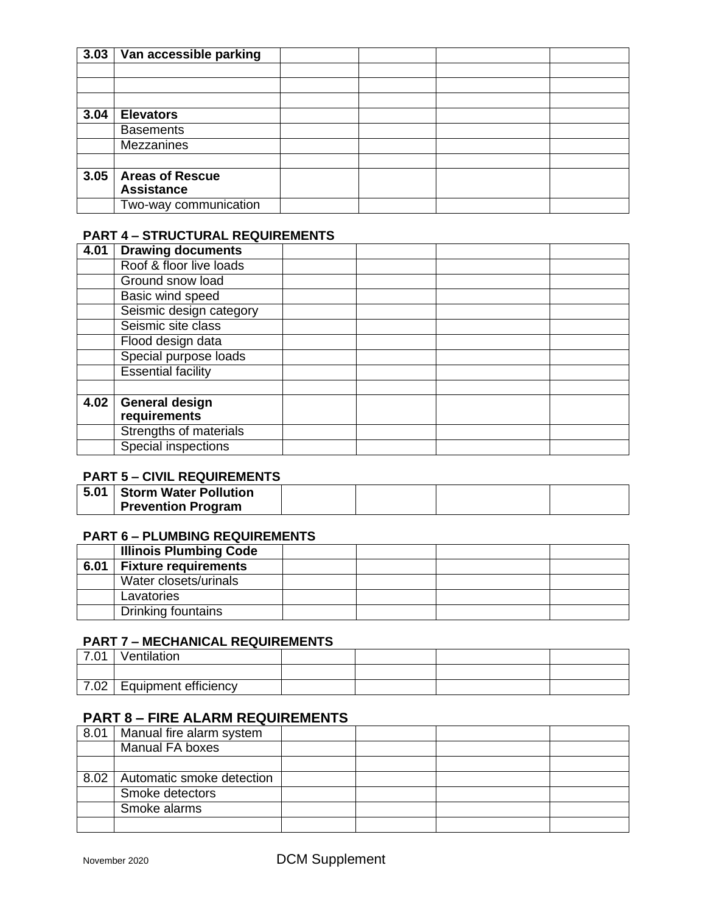| 3.03 | Van accessible parking |  |  |
|------|------------------------|--|--|
|      |                        |  |  |
|      |                        |  |  |
|      |                        |  |  |
| 3.04 | <b>Elevators</b>       |  |  |
|      | <b>Basements</b>       |  |  |
|      | <b>Mezzanines</b>      |  |  |
|      |                        |  |  |
| 3.05 | <b>Areas of Rescue</b> |  |  |
|      | <b>Assistance</b>      |  |  |
|      | Two-way communication  |  |  |

## **PART 4 – STRUCTURAL REQUIREMENTS**

| 4.01 | <b>Drawing documents</b>      |  |
|------|-------------------------------|--|
|      | Roof & floor live loads       |  |
|      | Ground snow load              |  |
|      | <b>Basic wind speed</b>       |  |
|      | Seismic design category       |  |
|      | Seismic site class            |  |
|      | Flood design data             |  |
|      | Special purpose loads         |  |
|      | <b>Essential facility</b>     |  |
|      |                               |  |
| 4.02 | <b>General design</b>         |  |
|      | requirements                  |  |
|      | <b>Strengths of materials</b> |  |
|      | Special inspections           |  |

## **PART 5 – CIVIL REQUIREMENTS**

| 5.01 | Storm Water Pollution     |  |  |
|------|---------------------------|--|--|
|      | <b>Prevention Program</b> |  |  |

## **PART 6 – PLUMBING REQUIREMENTS**

|      | <b>Illinois Plumbing Code</b> |  |  |
|------|-------------------------------|--|--|
| 6.01 | <b>Fixture requirements</b>   |  |  |
|      | Water closets/urinals         |  |  |
|      | Lavatories                    |  |  |
|      | Drinking fountains            |  |  |

## **PART 7 – MECHANICAL REQUIREMENTS**

| 7.01 | Ventilation                 |  |  |
|------|-----------------------------|--|--|
|      |                             |  |  |
|      | 7.02   Equipment efficiency |  |  |

# **PART 8 – FIRE ALARM REQUIREMENTS**

| 8.01 | Manual fire alarm system  |  |  |
|------|---------------------------|--|--|
|      | Manual FA boxes           |  |  |
|      |                           |  |  |
| 8.02 | Automatic smoke detection |  |  |
|      | Smoke detectors           |  |  |
|      | Smoke alarms              |  |  |
|      |                           |  |  |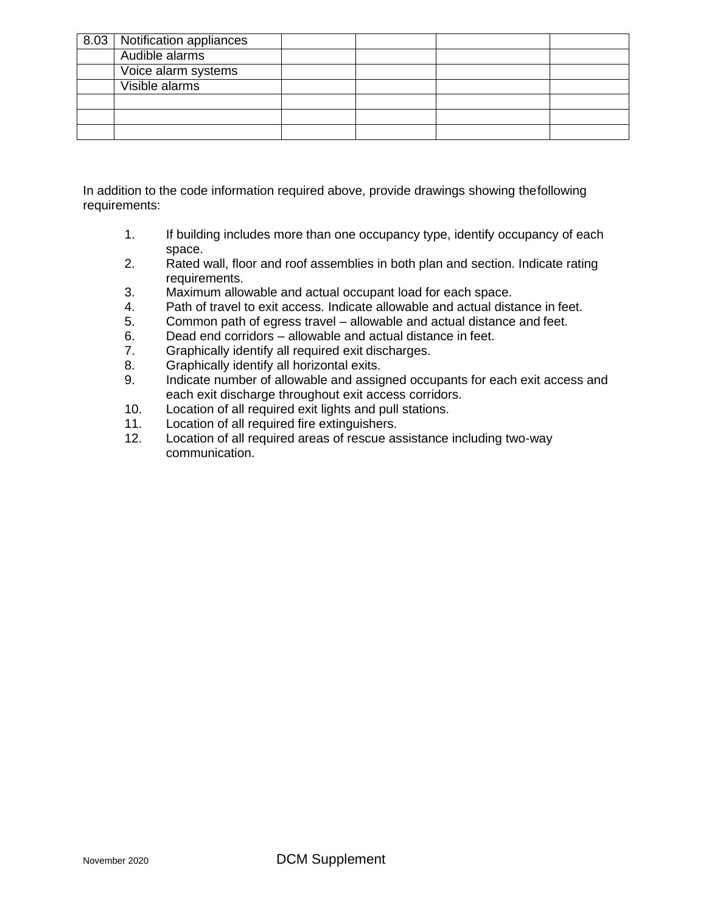| 8.03   Notification appliances |  |  |
|--------------------------------|--|--|
| Audible alarms                 |  |  |
| Voice alarm systems            |  |  |
| Visible alarms                 |  |  |
|                                |  |  |
|                                |  |  |
|                                |  |  |

In addition to the code information required above, provide drawings showing thefollowing requirements:

- 1. If building includes more than one occupancy type, identify occupancy of each space.
- 2. Rated wall, floor and roof assemblies in both plan and section. Indicate rating requirements.
- 3. Maximum allowable and actual occupant load for each space.
- 4. Path of travel to exit access. Indicate allowable and actual distance in feet.
- 5. Common path of egress travel allowable and actual distance and feet.
- 6. Dead end corridors allowable and actual distance in feet.
- 7. Graphically identify all required exit discharges.
- 8. Graphically identify all horizontal exits.
- 9. Indicate number of allowable and assigned occupants for each exit access and each exit discharge throughout exit access corridors.
- 10. Location of all required exit lights and pull stations.
- 11. Location of all required fire extinguishers.
- 12. Location of all required areas of rescue assistance including two-way communication.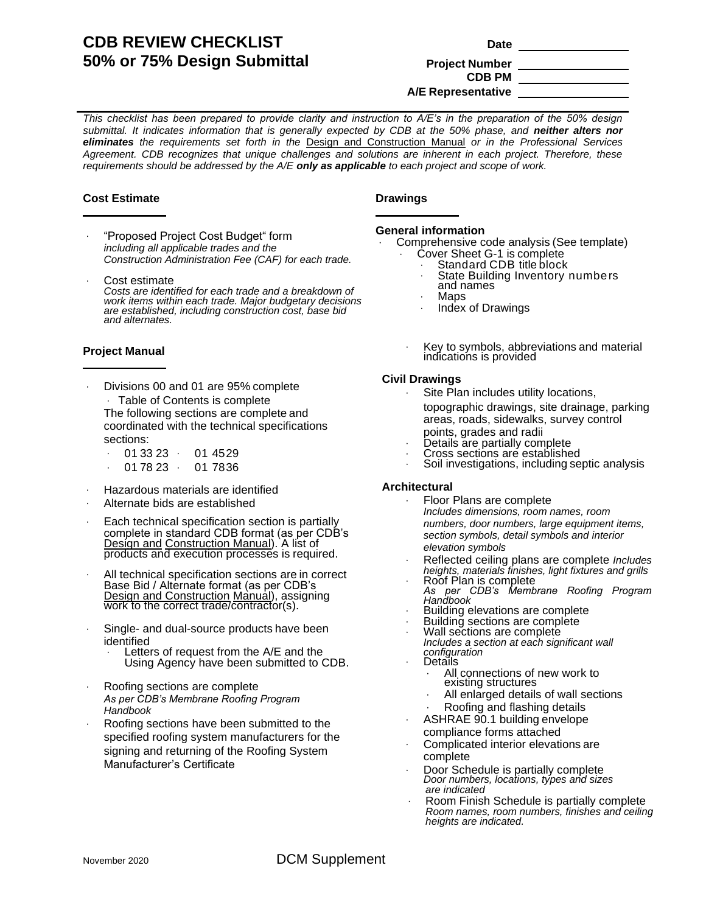# **CDB REVIEW CHECKLIST 50% or 75% Design Submittal Project Number**

# **CDB PM A/E Representative**

*This checklist has been prepared to provide clarity and instruction to A/E's in the preparation of the 50% design*  submittal. It indicates information that is generally expected by CDB at the 50% phase, and **neither alters nor** *eliminates the requirements set forth in the* Design and Construction Manual *or in the Professional Services Agreement. CDB recognizes that unique challenges and solutions are inherent in each project. Therefore, these requirements should be addressed by the A/E only as applicable to each project and scope of work.*

#### **Cost Estimate \_**

- "Proposed Project Cost Budget" form *including all applicable trades and the Construction Administration Fee (CAF) for each trade.*
- Cost estimate *Costs are identified for each trade and a breakdown of work items within each trade. Major budgetary decisions are established, including construction cost, base bid and alternates.*

#### **Project Manual \_**

Divisions 00 and 01 are 95% complete Table of Contents is complete The following sections are complete and coordinated with the technical specifications sections:

| 01 33 23 | 01 45 29 |
|----------|----------|
| 01 78 23 | 01 7836  |

- Hazardous materials are identified
- Alternate bids are established
- Each technical specification section is partially complete in standard CDB format (as per CDB's Design and Construction Manual). A list of products and execution processes is required.
- All technical specification sections are in correct Base Bid / Alternate format (as per CDB's Design and Construction Manual), assigning work to the correct trade/contractor(s).
- Single- and dual-source products have been identified
	- Letters of request from the A/E and the Using Agency have been submitted to CDB.
- Roofing sections are complete *As per CDB's Membrane Roofing Program Handbook*
- Roofing sections have been submitted to the specified roofing system manufacturers for the signing and returning of the Roofing System Manufacturer's Certificate

#### **Drawings**

#### **General information**

**\_**

- Comprehensive code analysis (See template) Cover Sheet G-1 is complete
	- Standard CDB title block
		- State Building Inventory numbers
	- and names
	- Maps
	- Index of Drawings
	- Key to symbols, abbreviations and material indications is provided

#### **Civil Drawings**

- Site Plan includes utility locations, topographic drawings, site drainage, parking areas, roads, sidewalks, survey control points, grades and radii
- Details are partially complete
- Cross sections are established
- Soil investigations, including septic analysis

#### **Architectural**

- Floor Plans are complete *Includes dimensions, room names, room numbers, door numbers, large equipment items, section symbols, detail symbols and interior elevation symbols*
- Reflected ceiling plans are complete *Includes heights, materials finishes, light fixtures and grills*
- Roof Plan is complete *As per CDB's Membrane Roofing Program*
- *Handbook*
- Building elevations are complete Building sections are complete
- Wall sections are complete
- *Includes a section at each significant wall configuration*
- **Details** 
	- All connections of new work to existing structures
	- All enlarged details of wall sections
	- Roofing and flashing details
- ASHRAE 90.1 building envelope compliance forms attached
- Complicated interior elevations are complete
- Door Schedule is partially complete *Door numbers, locations, types and sizes are indicated*
- Room Finish Schedule is partially complete *Room names, room numbers, finishes and ceiling heights are indicated.*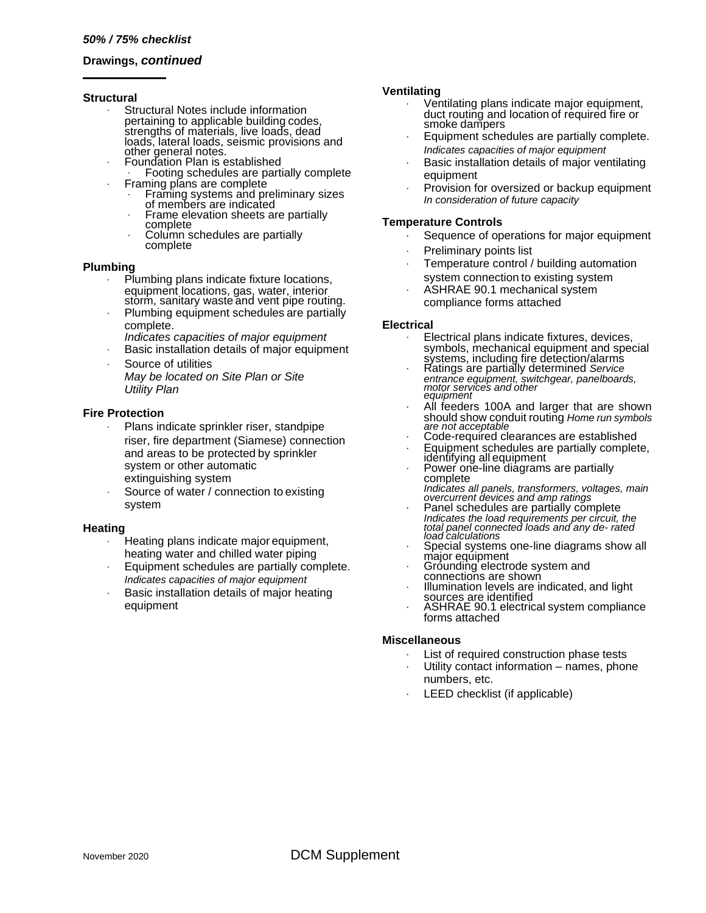**\_**

#### **Drawings,** *continued*

#### **Structural**

- Structural Notes include information pertaining to applicable building codes, strengths of materials, live loads, dead loads, lateral loads, seismic provisions and other general notes.
- Foundation Plan is established Footing schedules are partially complete
	- Framing plans are complete Framing systems and preliminary sizes of members are indicated
	- Frame elevation sheets are partially complete
	- Column schedules are partially complete

#### **Plumbing**

- Plumbing plans indicate fixture locations, equipment locations, gas, water, interior storm, sanitary waste and vent pipe routing.
- Plumbing equipment schedules are partially complete.
- *Indicates capacities of major equipment*
- Basic installation details of major equipment
- Source of utilities *May be located on Site Plan or Site Utility Plan*

#### **Fire Protection**

- Plans indicate sprinkler riser, standpipe riser, fire department (Siamese) connection and areas to be protected by sprinkler system or other automatic extinguishing system
- Source of water / connection to existing system

#### **Heating**

- Heating plans indicate major equipment, heating water and chilled water piping
- Equipment schedules are partially complete. *Indicates capacities of major equipment*
- Basic installation details of major heating equipment

#### **Ventilating**

- Ventilating plans indicate major equipment, duct routing and location of required fire or smoke dampers
- Equipment schedules are partially complete. *Indicates capacities of major equipment*
- Basic installation details of major ventilating equipment
- Provision for oversized or backup equipment *In consideration of future capacity*

#### **Temperature Controls**

- Sequence of operations for major equipment
- Preliminary points list
- Temperature control / building automation system connection to existing system
- ASHRAE 90.1 mechanical system compliance forms attached

#### **Electrical**

- Electrical plans indicate fixtures, devices, symbols, mechanical equipment and special systems, including fire detection/alarms
- Ratings are partially determined *Service entrance equipment, switchgear, panelboards, motor services and other equipment*
- All feeders 100A and larger that are shown should show conduit routing *Home run symbols are not acceptable*
- Code-required clearances are established
- Equipment schedules are partially complete, identifying all equipment
- Power one-line diagrams are partially complete
- *Indicates all panels, transformers, voltages, main overcurrent devices and amp ratings*
- Panel schedules are partially complete *Indicates the load requirements per circuit, the total panel connected loads and any de- rated load calculations*
- Special systems one-line diagrams show all major equipment
- Grounding electrode system and
- connections are shown Illumination levels are indicated, and light
- sources are identified
- ASHRAE 90.1 electrical system compliance forms attached

#### **Miscellaneous**

- List of required construction phase tests
- Utility contact information names, phone numbers, etc.
- LEED checklist (if applicable)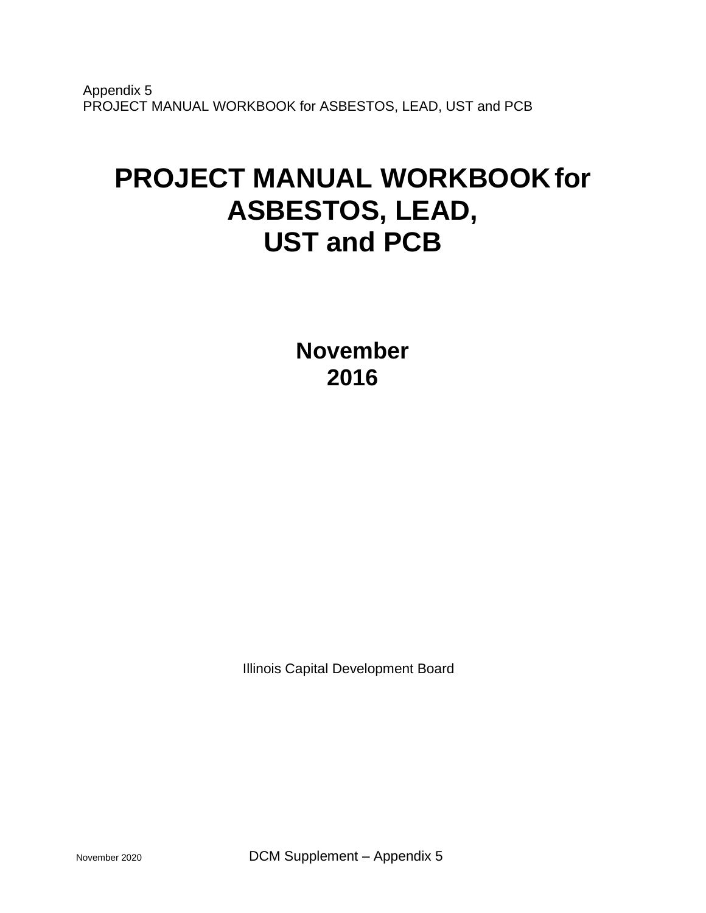Appendix 5 PROJECT MANUAL WORKBOOK for ASBESTOS, LEAD, UST and PCB

# **PROJECT MANUAL WORKBOOKfor ASBESTOS, LEAD, UST and PCB**

**November 2016**

Illinois Capital Development Board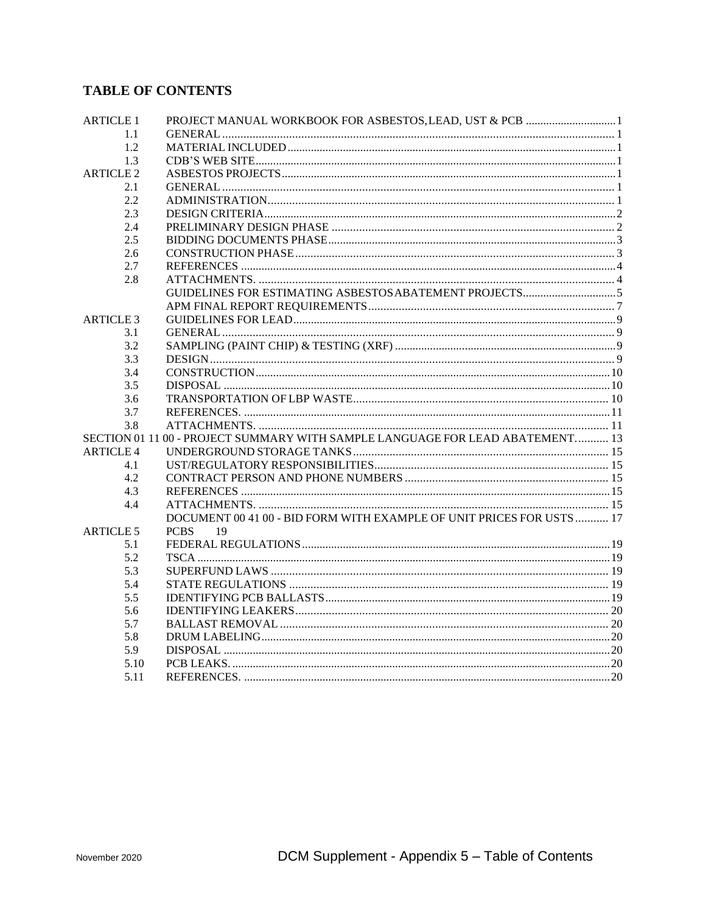# **TABLE OF CONTENTS**

| <b>ARTICLE 1</b> |                                                                               |  |
|------------------|-------------------------------------------------------------------------------|--|
| 1.1              |                                                                               |  |
| 1.2              |                                                                               |  |
| 1.3              |                                                                               |  |
| <b>ARTICLE 2</b> |                                                                               |  |
| 2.1              |                                                                               |  |
| 2.2              |                                                                               |  |
| 2.3              |                                                                               |  |
| 2.4              |                                                                               |  |
| 2.5              |                                                                               |  |
| 2.6              |                                                                               |  |
| 2.7              |                                                                               |  |
| 2.8              |                                                                               |  |
|                  |                                                                               |  |
|                  |                                                                               |  |
| <b>ARTICLE 3</b> |                                                                               |  |
| 3.1              |                                                                               |  |
| 3.2              |                                                                               |  |
| 3.3              |                                                                               |  |
| 3.4              |                                                                               |  |
| 3.5              |                                                                               |  |
| 3.6              |                                                                               |  |
| 3.7              |                                                                               |  |
| 3.8              |                                                                               |  |
|                  | SECTION 01 11 00 - PROJECT SUMMARY WITH SAMPLE LANGUAGE FOR LEAD ABATEMENT 13 |  |
| <b>ARTICLE 4</b> |                                                                               |  |
| 4.1              |                                                                               |  |
| 4.2              |                                                                               |  |
| 4.3              |                                                                               |  |
| 4.4              |                                                                               |  |
|                  | DOCUMENT 00 41 00 - BID FORM WITH EXAMPLE OF UNIT PRICES FOR USTS  17         |  |
| <b>ARTICLE 5</b> | <b>PCBS</b><br>19                                                             |  |
| 5.1              |                                                                               |  |
| 5.2              |                                                                               |  |
| 5.3              |                                                                               |  |
| 5.4              |                                                                               |  |
| 5.5              |                                                                               |  |
| 5.6              |                                                                               |  |
| 5.7              |                                                                               |  |
| 5.8              |                                                                               |  |
| 5.9              |                                                                               |  |
| 5.10             |                                                                               |  |
| 5.11             |                                                                               |  |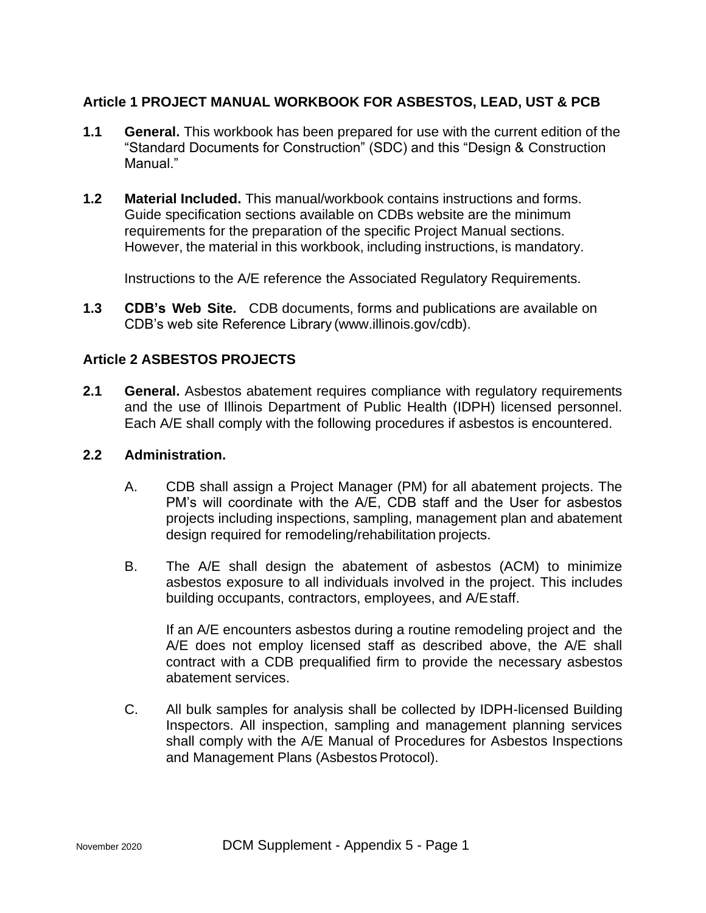# **Article 1 PROJECT MANUAL WORKBOOK FOR ASBESTOS, LEAD, UST & PCB**

- **1.1 General.** This workbook has been prepared for use with the current edition of the "Standard Documents for Construction" (SDC) and this "Design & Construction Manual."
- **1.2 Material Included.** This manual/workbook contains instructions and forms. Guide specification sections available on CDBs website are the minimum requirements for the preparation of the specific Project Manual sections. However, the material in this workbook, including instructions, is mandatory.

Instructions to the A/E reference the Associated Regulatory Requirements.

**1.3 CDB's Web Site.** CDB documents, forms and publications are available on CDB's web site Reference Library [\(www.illinois.gov/cdb\).](http://www.illinois.gov/cdb))

# **Article 2 ASBESTOS PROJECTS**

**2.1 General.** Asbestos abatement requires compliance with regulatory requirements and the use of Illinois Department of Public Health (IDPH) licensed personnel. Each A/E shall comply with the following procedures if asbestos is encountered.

# **2.2 Administration.**

- A. CDB shall assign a Project Manager (PM) for all abatement projects. The PM's will coordinate with the A/E, CDB staff and the User for asbestos projects including inspections, sampling, management plan and abatement design required for remodeling/rehabilitation projects.
- B. The A/E shall design the abatement of asbestos (ACM) to minimize asbestos exposure to all individuals involved in the project. This includes building occupants, contractors, employees, and A/Estaff.

If an A/E encounters asbestos during a routine remodeling project and the A/E does not employ licensed staff as described above, the A/E shall contract with a CDB prequalified firm to provide the necessary asbestos abatement services.

C. All bulk samples for analysis shall be collected by IDPH-licensed Building Inspectors. All inspection, sampling and management planning services shall comply with the A/E Manual of Procedures for Asbestos Inspections and Management Plans (Asbestos Protocol).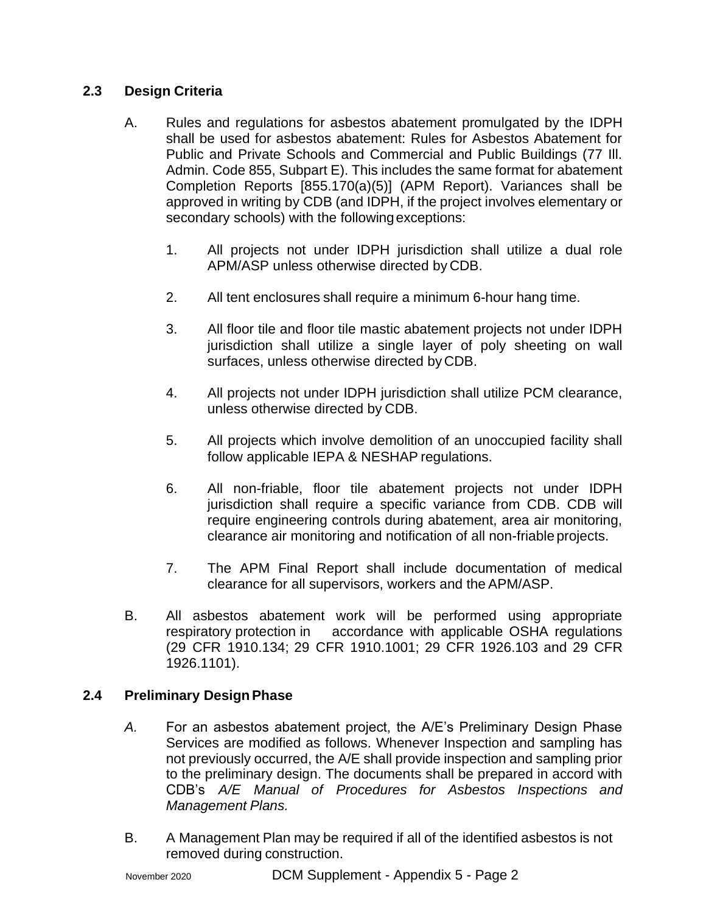# **2.3 Design Criteria**

- A. Rules and regulations for asbestos abatement promulgated by the IDPH shall be used for asbestos abatement: Rules for Asbestos Abatement for Public and Private Schools and Commercial and Public Buildings (77 Ill. Admin. Code 855, Subpart E). This includes the same format for abatement Completion Reports [855.170(a)(5)] (APM Report). Variances shall be approved in writing by CDB (and IDPH, if the project involves elementary or secondary schools) with the followingexceptions:
	- 1. All projects not under IDPH jurisdiction shall utilize a dual role APM/ASP unless otherwise directed by CDB.
	- 2. All tent enclosures shall require a minimum 6-hour hang time.
	- 3. All floor tile and floor tile mastic abatement projects not under IDPH jurisdiction shall utilize a single layer of poly sheeting on wall surfaces, unless otherwise directed by CDB.
	- 4. All projects not under IDPH jurisdiction shall utilize PCM clearance, unless otherwise directed by CDB.
	- 5. All projects which involve demolition of an unoccupied facility shall follow applicable IEPA & NESHAP regulations.
	- 6. All non-friable, floor tile abatement projects not under IDPH jurisdiction shall require a specific variance from CDB. CDB will require engineering controls during abatement, area air monitoring, clearance air monitoring and notification of all non-friable projects.
	- 7. The APM Final Report shall include documentation of medical clearance for all supervisors, workers and the APM/ASP.
- B. All asbestos abatement work will be performed using appropriate respiratory protection in accordance with applicable OSHA regulations (29 CFR 1910.134; 29 CFR 1910.1001; 29 CFR 1926.103 and 29 CFR 1926.1101).

# **2.4 Preliminary DesignPhase**

- *A.* For an asbestos abatement project, the A/E's Preliminary Design Phase Services are modified as follows. Whenever Inspection and sampling has not previously occurred, the A/E shall provide inspection and sampling prior to the preliminary design. The documents shall be prepared in accord with CDB's *A/E Manual of Procedures for Asbestos Inspections and Management Plans.*
- B. A Management Plan may be required if all of the identified asbestos is not removed during construction.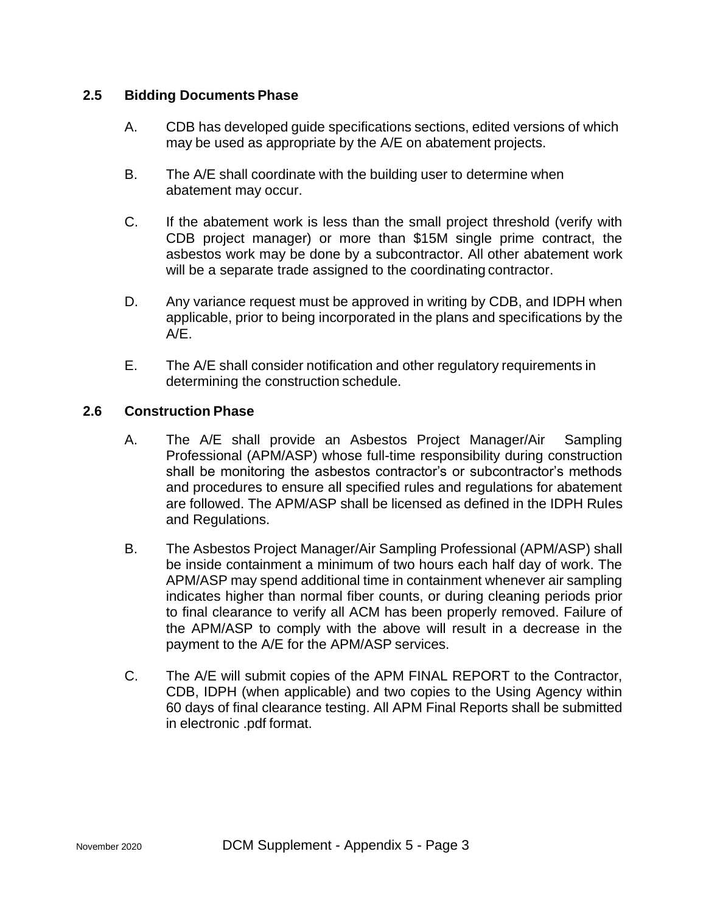## **2.5 Bidding Documents Phase**

- A. CDB has developed guide specifications sections, edited versions of which may be used as appropriate by the A/E on abatement projects.
- B. The A/E shall coordinate with the building user to determine when abatement may occur.
- C. If the abatement work is less than the small project threshold (verify with CDB project manager) or more than \$15M single prime contract, the asbestos work may be done by a subcontractor. All other abatement work will be a separate trade assigned to the coordinating contractor.
- D. Any variance request must be approved in writing by CDB, and IDPH when applicable, prior to being incorporated in the plans and specifications by the A/E.
- E. The A/E shall consider notification and other regulatory requirements in determining the construction schedule.

# **2.6 Construction Phase**

- A. The A/E shall provide an Asbestos Project Manager/Air Sampling Professional (APM/ASP) whose full-time responsibility during construction shall be monitoring the asbestos contractor's or subcontractor's methods and procedures to ensure all specified rules and regulations for abatement are followed. The APM/ASP shall be licensed as defined in the IDPH Rules and Regulations.
- B. The Asbestos Project Manager/Air Sampling Professional (APM/ASP) shall be inside containment a minimum of two hours each half day of work. The APM/ASP may spend additional time in containment whenever air sampling indicates higher than normal fiber counts, or during cleaning periods prior to final clearance to verify all ACM has been properly removed. Failure of the APM/ASP to comply with the above will result in a decrease in the payment to the A/E for the APM/ASP services.
- C. The A/E will submit copies of the APM FINAL REPORT to the Contractor, CDB, IDPH (when applicable) and two copies to the Using Agency within 60 days of final clearance testing. All APM Final Reports shall be submitted in electronic .pdf format.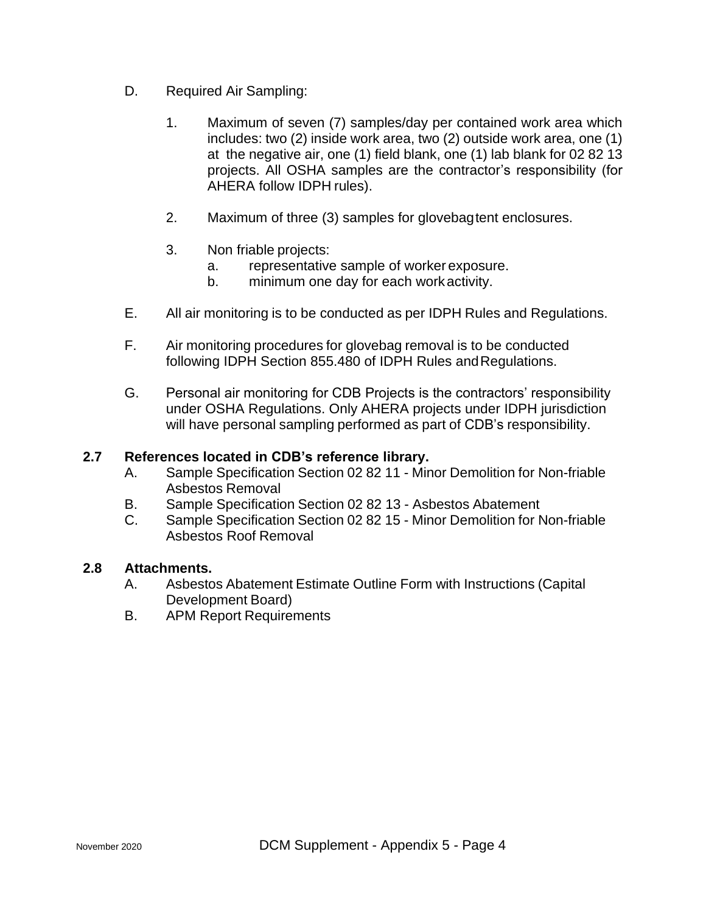- D. Required Air Sampling:
	- 1. Maximum of seven (7) samples/day per contained work area which includes: two (2) inside work area, two (2) outside work area, one (1) at the negative air, one (1) field blank, one (1) lab blank for 02 82 13 projects. All OSHA samples are the contractor's responsibility (for AHERA follow IDPH rules).
	- 2. Maximum of three (3) samples for glovebagtent enclosures.
	- 3. Non friable projects:
		- a. representative sample of worker exposure.
		- b. minimum one day for each workactivity.
- E. All air monitoring is to be conducted as per IDPH Rules and Regulations.
- F. Air monitoring procedures for glovebag removal is to be conducted following IDPH Section 855.480 of IDPH Rules andRegulations.
- G. Personal air monitoring for CDB Projects is the contractors' responsibility under OSHA Regulations. Only AHERA projects under IDPH jurisdiction will have personal sampling performed as part of CDB's responsibility.

## **2.7 References located in CDB's reference library.**

- A. Sample Specification Section 02 82 11 Minor Demolition for Non-friable Asbestos Removal
- B. Sample Specification Section 02 82 13 Asbestos Abatement
- C. Sample Specification Section 02 82 15 Minor Demolition for Non-friable Asbestos Roof Removal

## **2.8 Attachments.**

- A. Asbestos Abatement Estimate Outline Form with Instructions (Capital Development Board)
- B. APM Report Requirements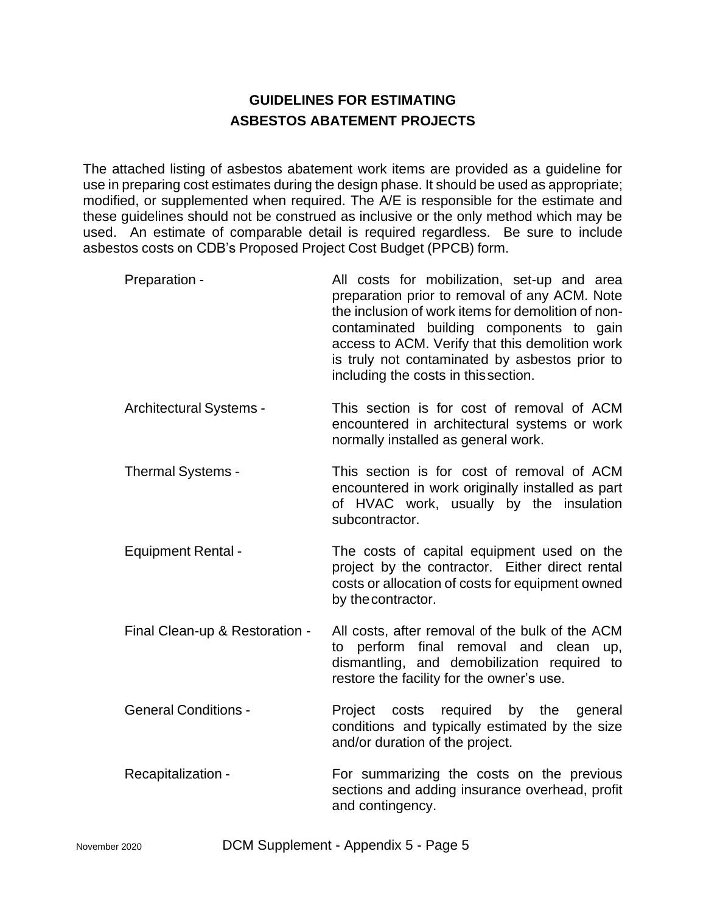# **GUIDELINES FOR ESTIMATING ASBESTOS ABATEMENT PROJECTS**

The attached listing of asbestos abatement work items are provided as a guideline for use in preparing cost estimates during the design phase. It should be used as appropriate; modified, or supplemented when required. The A/E is responsible for the estimate and these guidelines should not be construed as inclusive or the only method which may be used. An estimate of comparable detail is required regardless. Be sure to include asbestos costs on CDB's Proposed Project Cost Budget (PPCB) form.

| Preparation -                  | All costs for mobilization, set-up and area<br>preparation prior to removal of any ACM. Note<br>the inclusion of work items for demolition of non-<br>contaminated building components to gain<br>access to ACM. Verify that this demolition work<br>is truly not contaminated by asbestos prior to<br>including the costs in this section. |
|--------------------------------|---------------------------------------------------------------------------------------------------------------------------------------------------------------------------------------------------------------------------------------------------------------------------------------------------------------------------------------------|
| <b>Architectural Systems -</b> | This section is for cost of removal of ACM<br>encountered in architectural systems or work<br>normally installed as general work.                                                                                                                                                                                                           |
| Thermal Systems -              | This section is for cost of removal of ACM<br>encountered in work originally installed as part<br>of HVAC work, usually by the insulation<br>subcontractor.                                                                                                                                                                                 |
| <b>Equipment Rental -</b>      | The costs of capital equipment used on the<br>project by the contractor. Either direct rental<br>costs or allocation of costs for equipment owned<br>by the contractor.                                                                                                                                                                     |
| Final Clean-up & Restoration - | All costs, after removal of the bulk of the ACM<br>perform final removal and clean up,<br>to<br>dismantling, and demobilization required to<br>restore the facility for the owner's use.                                                                                                                                                    |
| <b>General Conditions -</b>    | costs required by the<br>Project<br>general<br>conditions and typically estimated by the size<br>and/or duration of the project.                                                                                                                                                                                                            |
| Recapitalization -             | For summarizing the costs on the previous<br>sections and adding insurance overhead, profit<br>and contingency.                                                                                                                                                                                                                             |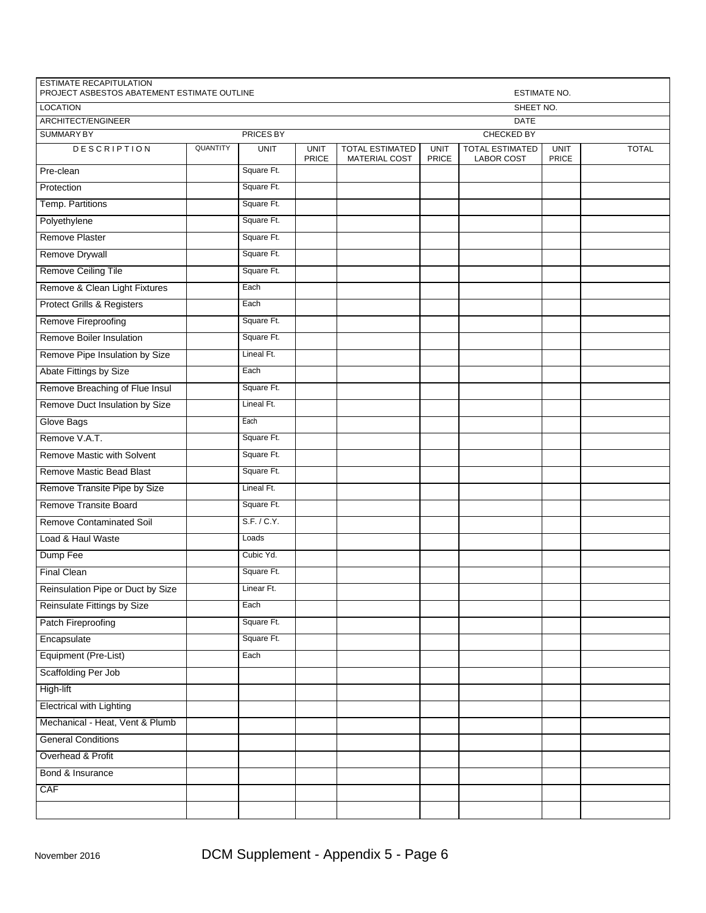| PROJECT ASBESTOS ABATEMENT ESTIMATE OUTLINE<br><b>LOCATION</b> |          |                  |                      |                                                | ESTIMATE NO.                |                                             |                      |              |  |
|----------------------------------------------------------------|----------|------------------|----------------------|------------------------------------------------|-----------------------------|---------------------------------------------|----------------------|--------------|--|
| ARCHITECT/ENGINEER                                             |          |                  |                      | SHEET NO.<br><b>DATE</b>                       |                             |                                             |                      |              |  |
| <b>SUMMARY BY</b>                                              |          | <b>PRICES BY</b> |                      |                                                |                             | <b>CHECKED BY</b>                           |                      |              |  |
| <b>DESCRIPTION</b>                                             | QUANTITY | <b>UNIT</b>      | <b>UNIT</b><br>PRICE | <b>TOTAL ESTIMATED</b><br><b>MATERIAL COST</b> | <b>UNIT</b><br><b>PRICE</b> | <b>TOTAL ESTIMATED</b><br><b>LABOR COST</b> | <b>UNIT</b><br>PRICE | <b>TOTAL</b> |  |
| Pre-clean                                                      |          | Square Ft.       |                      |                                                |                             |                                             |                      |              |  |
| Protection                                                     |          | Square Ft.       |                      |                                                |                             |                                             |                      |              |  |
| Temp. Partitions                                               |          | Square Ft.       |                      |                                                |                             |                                             |                      |              |  |
| Polyethylene                                                   |          | Square Ft.       |                      |                                                |                             |                                             |                      |              |  |
| <b>Remove Plaster</b>                                          |          | Square Ft.       |                      |                                                |                             |                                             |                      |              |  |
| Remove Drywall                                                 |          | Square Ft.       |                      |                                                |                             |                                             |                      |              |  |
| Remove Ceiling Tile                                            |          | Square Ft.       |                      |                                                |                             |                                             |                      |              |  |
| Remove & Clean Light Fixtures                                  |          | Each             |                      |                                                |                             |                                             |                      |              |  |
| <b>Protect Grills &amp; Registers</b>                          |          | Each             |                      |                                                |                             |                                             |                      |              |  |
| Remove Fireproofing                                            |          | Square Ft.       |                      |                                                |                             |                                             |                      |              |  |
| Remove Boiler Insulation                                       |          | Square Ft.       |                      |                                                |                             |                                             |                      |              |  |
| Remove Pipe Insulation by Size                                 |          | Lineal Ft.       |                      |                                                |                             |                                             |                      |              |  |
| Abate Fittings by Size                                         |          | Each             |                      |                                                |                             |                                             |                      |              |  |
| Remove Breaching of Flue Insul                                 |          | Square Ft.       |                      |                                                |                             |                                             |                      |              |  |
| Remove Duct Insulation by Size                                 |          | Lineal Ft.       |                      |                                                |                             |                                             |                      |              |  |
| Glove Bags                                                     |          | Each             |                      |                                                |                             |                                             |                      |              |  |
| Remove V.A.T.                                                  |          | Square Ft.       |                      |                                                |                             |                                             |                      |              |  |
| Remove Mastic with Solvent                                     |          | Square Ft.       |                      |                                                |                             |                                             |                      |              |  |
| Remove Mastic Bead Blast                                       |          | Square Ft.       |                      |                                                |                             |                                             |                      |              |  |
| Remove Transite Pipe by Size                                   |          | Lineal Ft.       |                      |                                                |                             |                                             |                      |              |  |
| Remove Transite Board                                          |          | Square Ft.       |                      |                                                |                             |                                             |                      |              |  |
| <b>Remove Contaminated Soil</b>                                |          | S.F. / C.Y.      |                      |                                                |                             |                                             |                      |              |  |
| Load & Haul Waste                                              |          | Loads            |                      |                                                |                             |                                             |                      |              |  |
| Dump Fee                                                       |          | Cubic Yd.        |                      |                                                |                             |                                             |                      |              |  |
| <b>Final Clean</b>                                             |          | Square Ft.       |                      |                                                |                             |                                             |                      |              |  |
| Reinsulation Pipe or Duct by Size                              |          | Linear Ft.       |                      |                                                |                             |                                             |                      |              |  |
| Reinsulate Fittings by Size                                    |          | Each             |                      |                                                |                             |                                             |                      |              |  |
| Patch Fireproofing                                             |          | Square Ft.       |                      |                                                |                             |                                             |                      |              |  |
| Encapsulate                                                    |          | Square Ft.       |                      |                                                |                             |                                             |                      |              |  |
| Equipment (Pre-List)                                           |          | Each             |                      |                                                |                             |                                             |                      |              |  |
| Scaffolding Per Job                                            |          |                  |                      |                                                |                             |                                             |                      |              |  |
| High-lift                                                      |          |                  |                      |                                                |                             |                                             |                      |              |  |
| <b>Electrical with Lighting</b>                                |          |                  |                      |                                                |                             |                                             |                      |              |  |
| Mechanical - Heat, Vent & Plumb                                |          |                  |                      |                                                |                             |                                             |                      |              |  |
| <b>General Conditions</b>                                      |          |                  |                      |                                                |                             |                                             |                      |              |  |
| Overhead & Profit                                              |          |                  |                      |                                                |                             |                                             |                      |              |  |
| Bond & Insurance                                               |          |                  |                      |                                                |                             |                                             |                      |              |  |
| CAF                                                            |          |                  |                      |                                                |                             |                                             |                      |              |  |
|                                                                |          |                  |                      |                                                |                             |                                             |                      |              |  |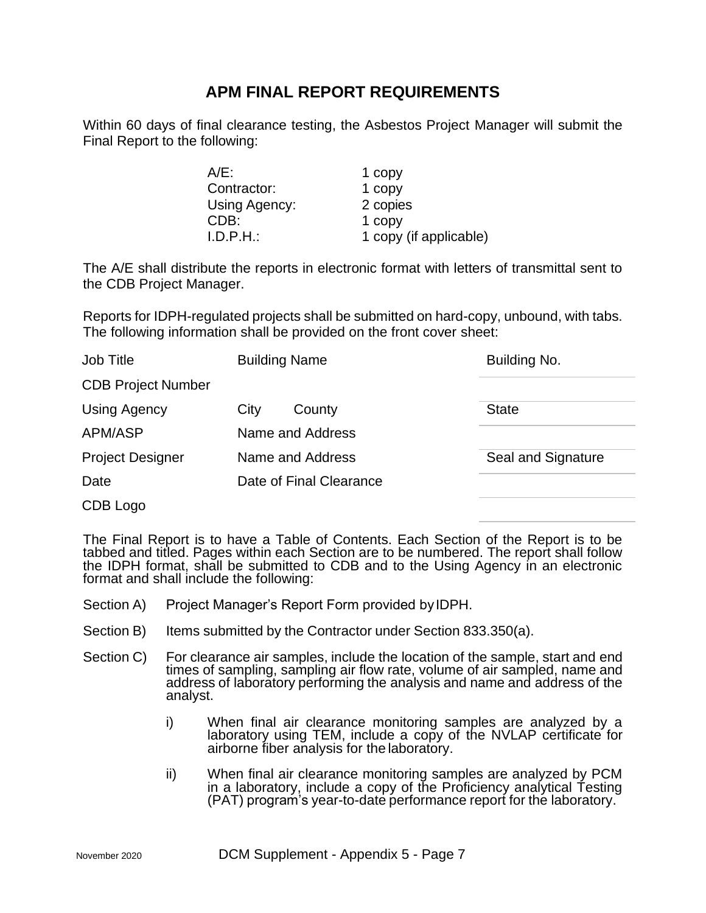# **APM FINAL REPORT REQUIREMENTS**

Within 60 days of final clearance testing, the Asbestos Project Manager will submit the Final Report to the following:

| $A/E$ :       | 1 copy                 |
|---------------|------------------------|
| Contractor:   | 1 copy                 |
| Using Agency: | 2 copies               |
| CDB:          | 1 copy                 |
| I.D.P.H.      | 1 copy (if applicable) |

The A/E shall distribute the reports in electronic format with letters of transmittal sent to the CDB Project Manager.

Reports for IDPH-regulated projects shall be submitted on hard-copy, unbound, with tabs. The following information shall be provided on the front cover sheet:

| Job Title                 | <b>Building Name</b>    | Building No.       |  |  |
|---------------------------|-------------------------|--------------------|--|--|
| <b>CDB Project Number</b> |                         |                    |  |  |
| <b>Using Agency</b>       | City<br>County          | <b>State</b>       |  |  |
| APM/ASP                   | Name and Address        |                    |  |  |
| <b>Project Designer</b>   | Name and Address        | Seal and Signature |  |  |
| Date                      | Date of Final Clearance |                    |  |  |
| CDB Logo                  |                         |                    |  |  |

The Final Report is to have a Table of Contents. Each Section of the Report is to be tabbed and titled. Pages within each Section are to be numbered. The report shall follow the IDPH format, shall be submitted to CDB and to the Using Agency in an electronic format and shall include the following:

- Section A) Project Manager's Report Form provided by IDPH.
- Section B) Items submitted by the Contractor under Section 833.350(a).
- Section C) For clearance air samples, include the location of the sample, start and end times of sampling, sampling air flow rate, volume of air sampled, name and address of laboratory performing the analysis and name and address of the analyst.
	- i) When final air clearance monitoring samples are analyzed by a laboratory using TEM, include a copy of the NVLAP certificate for airborne fiber analysis for the laboratory.
	- ii) When final air clearance monitoring samples are analyzed by PCM in a laboratory, include a copy of the Proficiency analytical Testing (PAT) program's year-to-date performance report for the laboratory.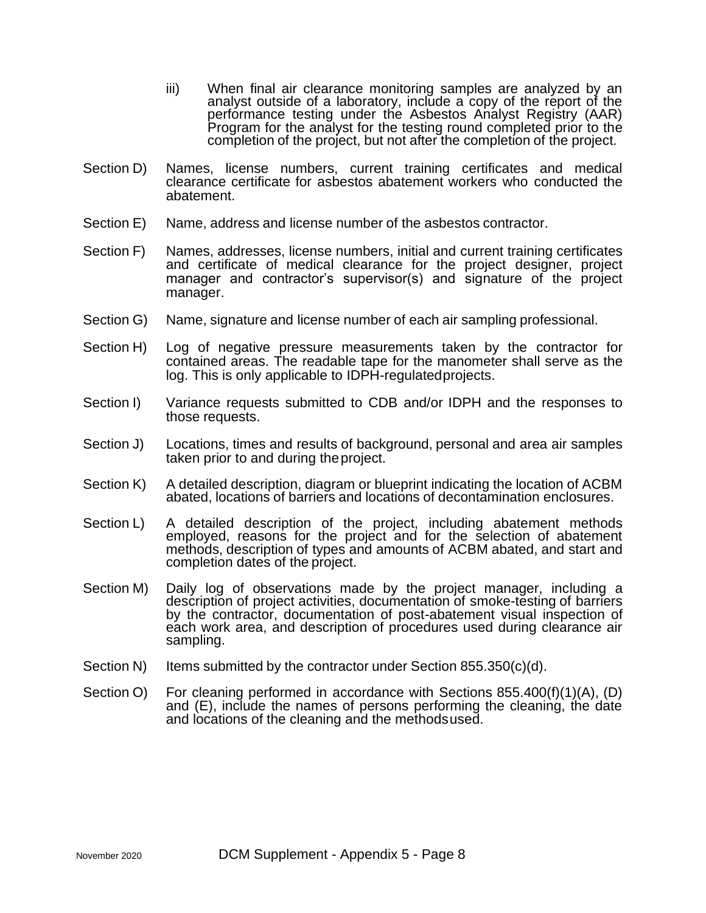- iii) When final air clearance monitoring samples are analyzed by an analyst outside of a laboratory, include a copy of the report of the performance testing under the Asbestos Analyst Registry (AAR) Program for the analyst for the testing round completed prior to the completion of the project, but not after the completion of the project.
- Section D) Names, license numbers, current training certificates and medical clearance certificate for asbestos abatement workers who conducted the abatement.
- Section E) Name, address and license number of the asbestos contractor.
- Section F) Names, addresses, license numbers, initial and current training certificates and certificate of medical clearance for the project designer, project manager and contractor's supervisor(s) and signature of the project manager.
- Section G) Name, signature and license number of each air sampling professional.
- Section H) Log of negative pressure measurements taken by the contractor for contained areas. The readable tape for the manometer shall serve as the log. This is only applicable to IDPH-regulatedprojects.
- Section I) Variance requests submitted to CDB and/or IDPH and the responses to those requests.
- Section J) Locations, times and results of background, personal and area air samples taken prior to and during theproject.
- Section K) A detailed description, diagram or blueprint indicating the location of ACBM abated, locations of barriers and locations of decontamination enclosures.
- Section L) A detailed description of the project, including abatement methods employed, reasons for the project and for the selection of abatement methods, description of types and amounts of ACBM abated, and start and completion dates of the project.
- Section M) Daily log of observations made by the project manager, including a description of project activities, documentation of smoke-testing of barriers by the contractor, documentation of post-abatement visual inspection of each work area, and description of procedures used during clearance air sampling.
- Section N) Items submitted by the contractor under Section 855.350 $(c)(d)$ .
- Section O) For cleaning performed in accordance with Sections 855.400(f)(1)(A), (D) and (E), include the names of persons performing the cleaning, the date and locations of the cleaning and the methodsused.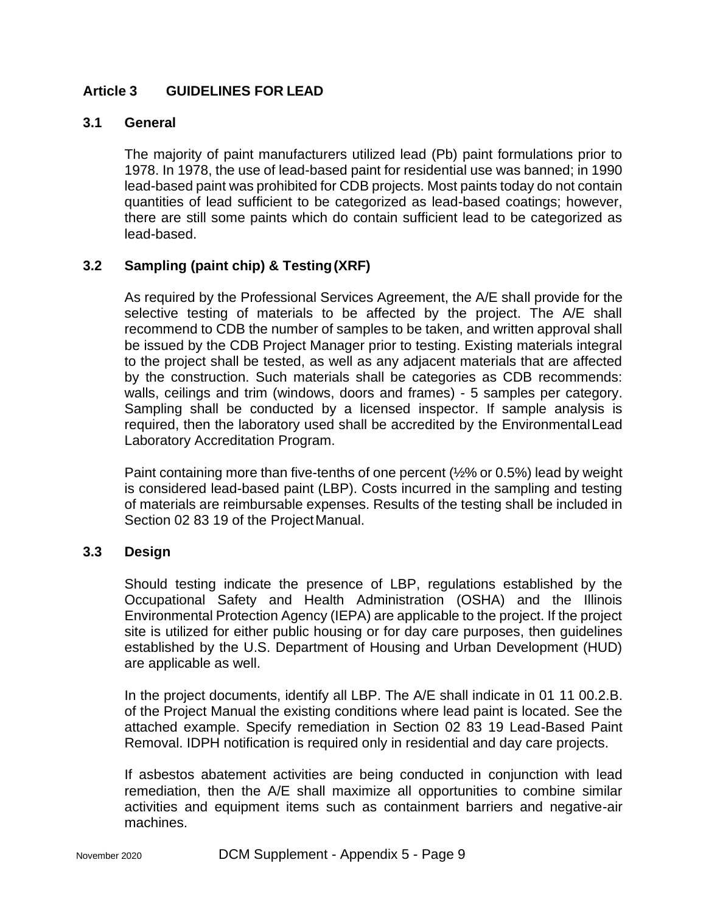# **Article 3 GUIDELINES FOR LEAD**

## **3.1 General**

The majority of paint manufacturers utilized lead (Pb) paint formulations prior to 1978. In 1978, the use of lead-based paint for residential use was banned; in 1990 lead-based paint was prohibited for CDB projects. Most paints today do not contain quantities of lead sufficient to be categorized as lead-based coatings; however, there are still some paints which do contain sufficient lead to be categorized as lead-based.

## **3.2 Sampling (paint chip) & Testing(XRF)**

As required by the Professional Services Agreement, the A/E shall provide for the selective testing of materials to be affected by the project. The A/E shall recommend to CDB the number of samples to be taken, and written approval shall be issued by the CDB Project Manager prior to testing. Existing materials integral to the project shall be tested, as well as any adjacent materials that are affected by the construction. Such materials shall be categories as CDB recommends: walls, ceilings and trim (windows, doors and frames) - 5 samples per category. Sampling shall be conducted by a licensed inspector. If sample analysis is required, then the laboratory used shall be accredited by the EnvironmentalLead Laboratory Accreditation Program.

Paint containing more than five-tenths of one percent (½% or 0.5%) lead by weight is considered lead-based paint (LBP). Costs incurred in the sampling and testing of materials are reimbursable expenses. Results of the testing shall be included in Section 02 83 19 of the Project Manual.

## **3.3 Design**

Should testing indicate the presence of LBP, regulations established by the Occupational Safety and Health Administration (OSHA) and the Illinois Environmental Protection Agency (IEPA) are applicable to the project. If the project site is utilized for either public housing or for day care purposes, then guidelines established by the U.S. Department of Housing and Urban Development (HUD) are applicable as well.

In the project documents, identify all LBP. The A/E shall indicate in 01 11 00.2.B. of the Project Manual the existing conditions where lead paint is located. See the attached example. Specify remediation in Section 02 83 19 Lead-Based Paint Removal. IDPH notification is required only in residential and day care projects.

If asbestos abatement activities are being conducted in conjunction with lead remediation, then the A/E shall maximize all opportunities to combine similar activities and equipment items such as containment barriers and negative-air machines.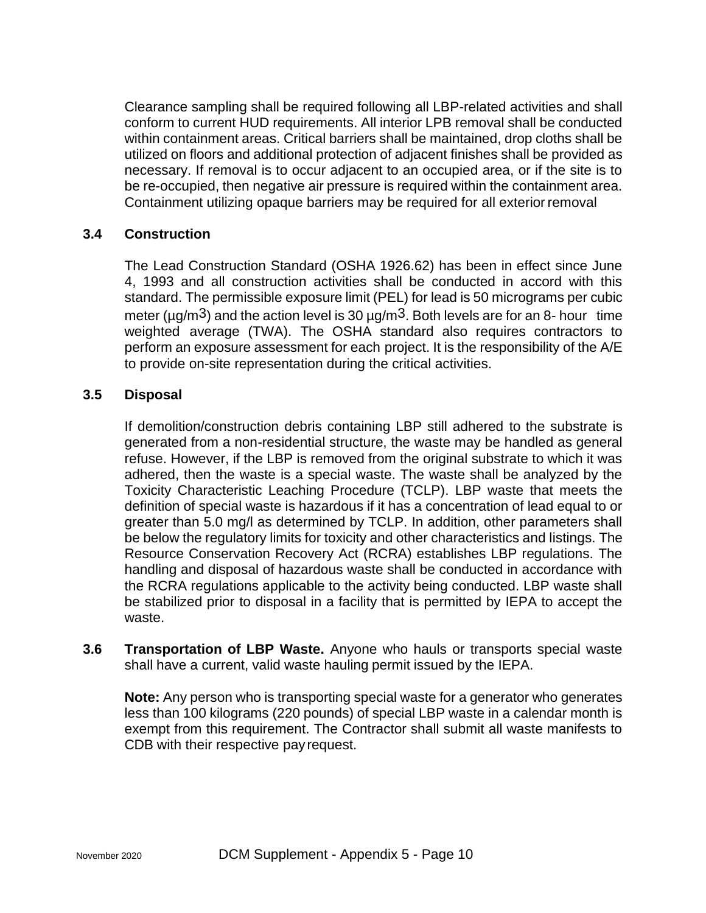Clearance sampling shall be required following all LBP-related activities and shall conform to current HUD requirements. All interior LPB removal shall be conducted within containment areas. Critical barriers shall be maintained, drop cloths shall be utilized on floors and additional protection of adjacent finishes shall be provided as necessary. If removal is to occur adjacent to an occupied area, or if the site is to be re-occupied, then negative air pressure is required within the containment area. Containment utilizing opaque barriers may be required for all exterior removal

# **3.4 Construction**

The Lead Construction Standard (OSHA 1926.62) has been in effect since June 4, 1993 and all construction activities shall be conducted in accord with this standard. The permissible exposure limit (PEL) for lead is 50 micrograms per cubic meter ( $\mu$ g/m<sup>3</sup>) and the action level is 30  $\mu$ g/m<sup>3</sup>. Both levels are for an 8- hour time weighted average (TWA). The OSHA standard also requires contractors to perform an exposure assessment for each project. It is the responsibility of the A/E to provide on-site representation during the critical activities.

## **3.5 Disposal**

If demolition/construction debris containing LBP still adhered to the substrate is generated from a non-residential structure, the waste may be handled as general refuse. However, if the LBP is removed from the original substrate to which it was adhered, then the waste is a special waste. The waste shall be analyzed by the Toxicity Characteristic Leaching Procedure (TCLP). LBP waste that meets the definition of special waste is hazardous if it has a concentration of lead equal to or greater than 5.0 mg/l as determined by TCLP. In addition, other parameters shall be below the regulatory limits for toxicity and other characteristics and listings. The Resource Conservation Recovery Act (RCRA) establishes LBP regulations. The handling and disposal of hazardous waste shall be conducted in accordance with the RCRA regulations applicable to the activity being conducted. LBP waste shall be stabilized prior to disposal in a facility that is permitted by IEPA to accept the waste.

**3.6 Transportation of LBP Waste.** Anyone who hauls or transports special waste shall have a current, valid waste hauling permit issued by the IEPA.

**Note:** Any person who is transporting special waste for a generator who generates less than 100 kilograms (220 pounds) of special LBP waste in a calendar month is exempt from this requirement. The Contractor shall submit all waste manifests to CDB with their respective payrequest.